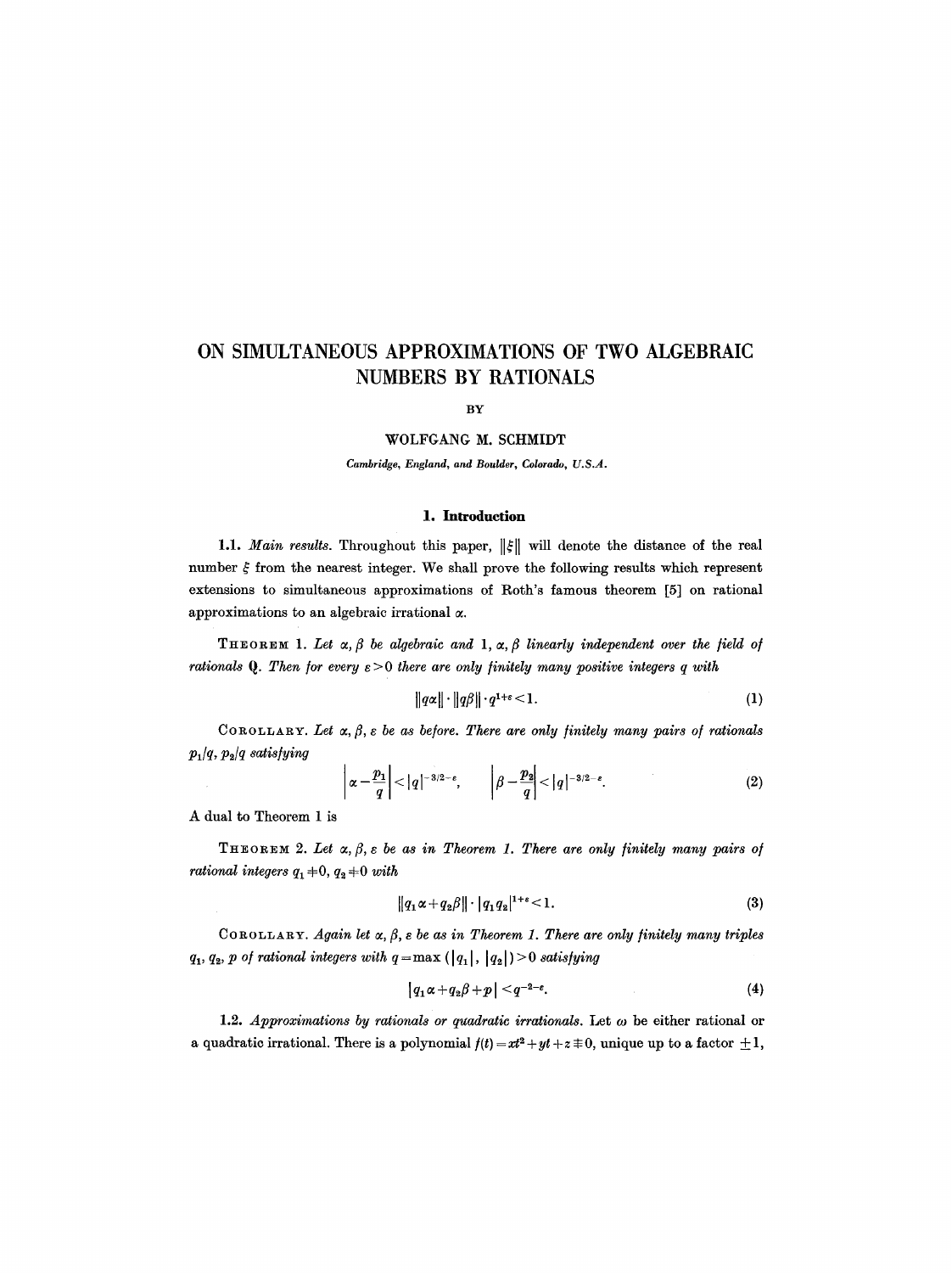# **ON SIMULTANEOUS APPROXIMATIONS OF TWO ALGEBRAIC NUMBERS BY RATIONALS**

BY

#### WOLFGANG M. SCHMIDT

*Cambridge, England, and Boulder, Colorado, U.S.A.* 

## **1. Introduction**

1.1. *Main results*. Throughout this paper,  $\|\xi\|$  will denote the distance of the real number  $\xi$  from the nearest integer. We shall prove the following results which represent extensions to simultaneous approximations of Roth's famous theorem [5] on rational approximations to an algebraic irrational  $\alpha$ .

THEOREM 1. Let  $\alpha, \beta$  be algebraic and 1,  $\alpha, \beta$  linearly independent over the field of *rationals Q. Then for every*  $\varepsilon > 0$  *there are only finitely many positive integers q with* 

$$
||q\alpha|| \cdot ||q\beta|| \cdot q^{1+\epsilon} < 1. \tag{1}
$$

COROLLARY. Let  $\alpha, \beta, \varepsilon$  be as before. There are only finitely many pairs of rationals *PJq, P2/q satis/yinq* 

$$
\left|\alpha-\frac{p_1}{q}\right|<|q|^{-3/2-\varepsilon},\qquad \left|\beta-\frac{p_2}{q}\right|<|q|^{-3/2-\varepsilon}.\tag{2}
$$

A dual to Theorem 1 is

THEOREM 2. Let  $\alpha, \beta, \varepsilon$  be as in Theorem 1. There are only finitely many pairs of *rational integers*  $q_1+0$ ,  $q_2+0$  *with* 

$$
||q_1 \alpha + q_2 \beta|| \cdot |q_1 q_2|^{1+\epsilon} < 1. \tag{3}
$$

COROLLARY. *Again let*  $\alpha$ ,  $\beta$ ,  $\varepsilon$  be as in Theorem 1. There are only finitely many triples  $q_1, q_2, p$  of rational integers with  $q = max (\vert q_1 \vert, \vert q_2 \vert) > 0$  satisfying

$$
|q_1\alpha+q_2\beta+p|
$$

1.2. *Approximations by rationals or quadratic irrationals.* Let  $\omega$  be either rational or a quadratic irrational. There is a polynomial  $f(t) = xt^2 + yt + z \equiv 0$ , unique up to a factor  $\pm 1$ ,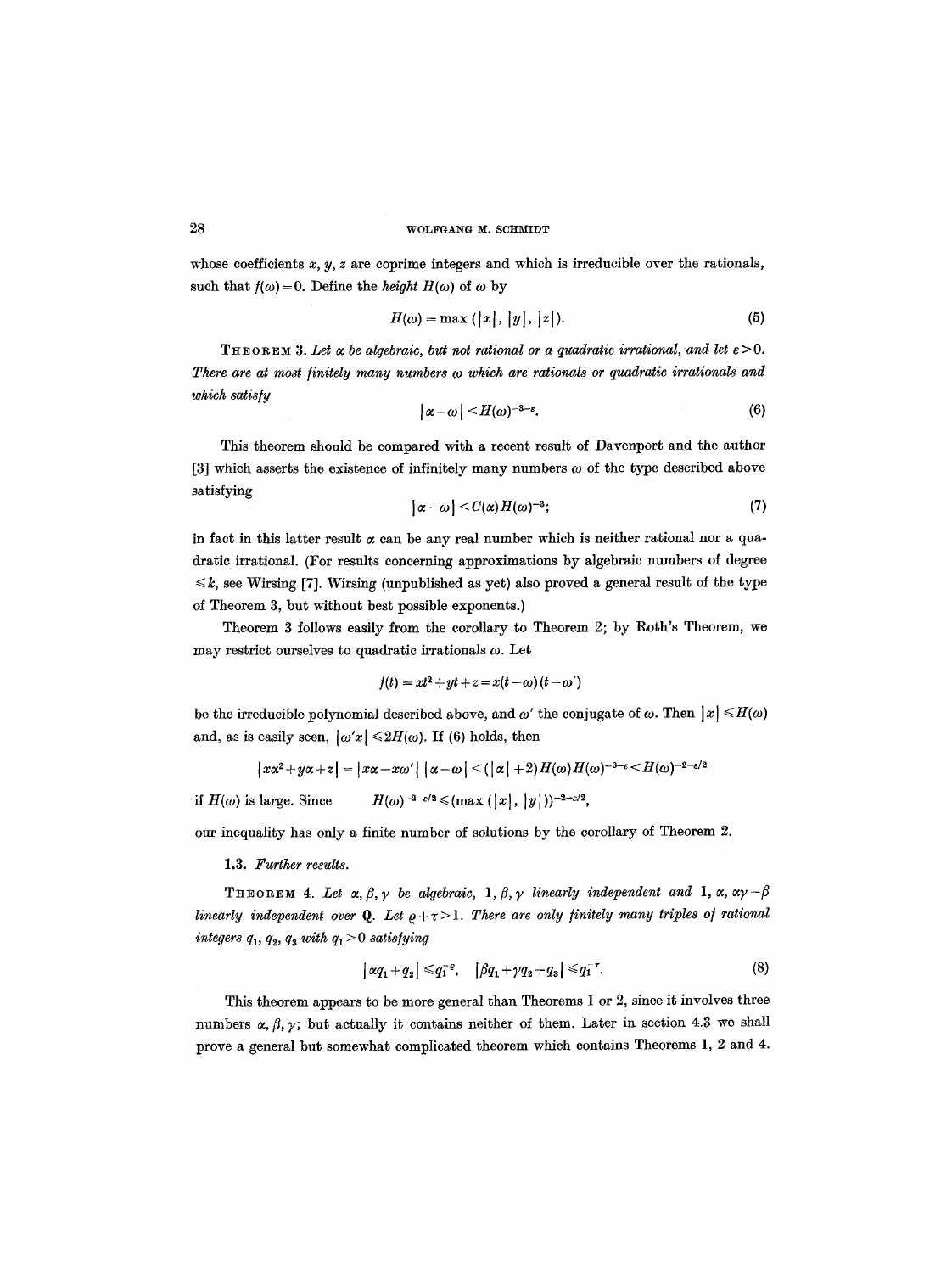whose coefficients  $x, y, z$  are coprime integers and which is irreducible over the rationals, such that  $f(\omega) = 0$ . Define the *height H(* $\omega$ *)* of  $\omega$  by

$$
H(\omega) = \max\left(\left|x\right|, \left|y\right|, \left|z\right|\right). \tag{5}
$$

**THEOREM 3. Let**  $\alpha$  **be algebraic, but not rational or a quadratic irrational, and let**  $\epsilon > 0$ **.** *There are at most finitely many numbers w which are rationals or quadratic irrationals and which satis/y* 

$$
|\alpha-\omega|
$$

This theorem should be compared with a recent result of Davenport and the author [3] which asserts the existence of infinitely many numbers  $\omega$  of the type described above satisfying

$$
|\alpha-\omega|
$$

in fact in this latter result  $\alpha$  can be any real number which is neither rational nor a quadratie irrational. (For results concerning approximations by algebraic numbers of degree  $\leq k$ , see Wirsing [7]. Wirsing (unpublished as yet) also proved a general result of the type of Theorem 3, but without best possible exponents.)

Theorem 3 follows easily from the corollary to Theorem 2; by Roth's Theorem, we may restrict ourselves to quadratic irrationals  $\omega$ . Let

$$
f(t) = xt^2 + yt + z = x(t - \omega)(t - \omega')
$$

be the irreducible polynomial described above, and  $\omega'$  the conjugate of  $\omega$ . Then  $|x| \leq H(\omega)$ and, as is easily seen,  $|\omega' x| \leq 2H(\omega)$ . If (6) holds, then

$$
|x\alpha^2+y\alpha+z|=|x\alpha-x\omega'|\left|\alpha-\omega\right|<(|\alpha|+2)H(\omega)H(\omega)^{-3-\varepsilon}
$$

if  $H(\omega)$  is large. Since  $H(\omega)^{-2-\varepsilon/2} \leq (m\alpha x \ (|x|, |y|))^{-2-\varepsilon/2}$ ,

our inequality has only a finite number of solutions by the corollary of Theorem 2.

1.3. *Further results.* 

**THEOREM 4.** Let  $\alpha, \beta, \gamma$  be algebraic,  $1, \beta, \gamma$  linearly independent and 1,  $\alpha, \alpha\gamma - \beta$ *linearly independent over* Q. Let  $\rho + \tau > 1$ . There are only finitely many triples of rational  $integers\ q_1,\ q_2,\ q_3\ with\ q_1\!>\!0\ satisfying$ 

$$
|\alpha q_1 + q_2| \leq q_1^{-\varrho}, \quad |\beta q_1 + \gamma q_2 + q_3| \leq q_1^{-\tau}.
$$
 (8)

This theorem appears to be more general than Theorems 1 or 2, since it involves three numbers  $\alpha, \beta, \gamma$ ; but actually it contains neither of them. Later in section 4.3 we shall prove a general but somewhat complicated theorem which contains Theorems 1, 2 and 4.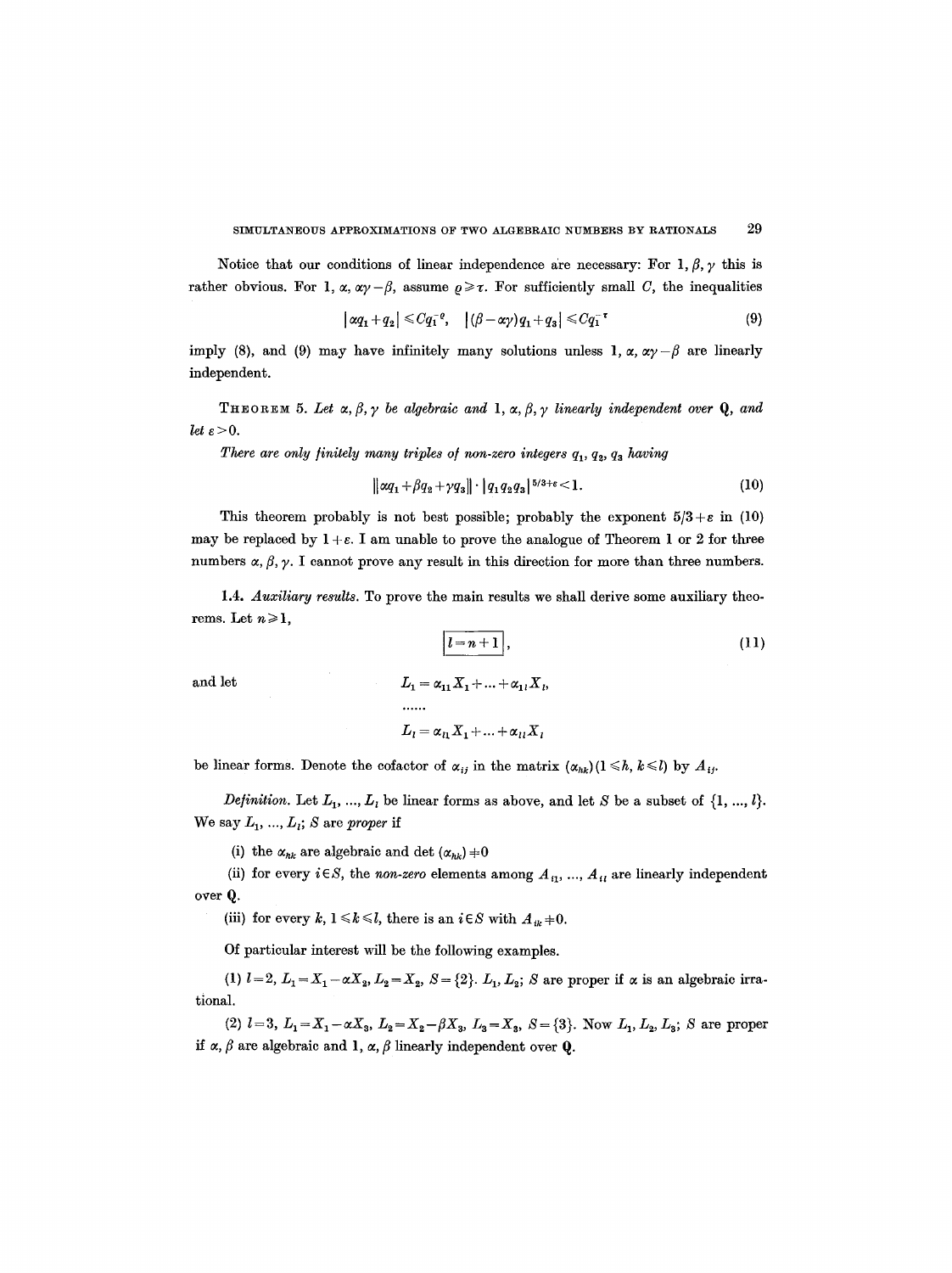Notice that our conditions of linear independence are necessary: For  $1, \beta, \gamma$  this is rather obvious. For 1,  $\alpha$ ,  $\alpha\gamma - \beta$ , assume  $\rho \ge \tau$ . For sufficiently small C, the inequalities

$$
\left|\alpha q_1 + q_2\right| \leqslant C q_1^{-e}, \quad \left|(\beta - \alpha \gamma) q_1 + q_3\right| \leqslant C q_1^{-\tau} \tag{9}
$$

imply (8), and (9) may have infinitely many solutions unless 1,  $\alpha$ ,  $\alpha y - \beta$  are linearly independent.

**THEOREM 5.** Let  $\alpha, \beta, \gamma$  be algebraic and **1**,  $\alpha, \beta, \gamma$  linearly independent over **Q**, and *let*  $\varepsilon > 0$ .

*There are only finitely many triples of non-zero integers*  $q_1, q_2, q_3$  *having* 

$$
\|\alpha q_1 + \beta q_2 + \gamma q_3\| \cdot |q_1 q_2 q_3|^{5/3 + \epsilon} < 1. \tag{10}
$$

This theorem probably is not best possible; probably the exponent  $5/3 + \varepsilon$  in (10) may be replaced by  $1 + \varepsilon$ . I am unable to prove the analogue of Theorem 1 or 2 for three numbers  $\alpha$ ,  $\beta$ ,  $\gamma$ . I cannot prove any result in this direction for more than three numbers.

1.4. *Auxiliary results.* To prove the main results we shall derive some auxiliary theorems. Let  $n \geq 1$ ,

$$
\boxed{l=n+1},\tag{11}
$$

and let  
\n
$$
L_1 = \alpha_{11} X_1 + ... + \alpha_{1l} X_l,
$$
\n
$$
...
$$
\n
$$
L_l = \alpha_{l1} X_1 + ... + \alpha_{ll} X_l
$$

be linear forms. Denote the cofactor of  $\alpha_{ij}$  in the matrix  $(\alpha_{hk})(1 \leq h, k \leq l)$  by  $A_{ij}$ .

*Definition.* Let  $L_1, ..., L_l$  be linear forms as above, and let S be a subset of  $\{1, ..., l\}$ . We say  $L_1$ , ...,  $L_i$ ; S are *proper* if

(i) the  $\alpha_{hk}$  are algebraic and det  $(\alpha_{hk}) \neq 0$ 

(ii) for every  $i \in S$ , the *non-zero* elements among  $A_{i1}$ , ...,  $A_{i1}$  are linearly independent over Q.

(iii) for every k,  $1 \le k \le l$ , there is an  $i \in S$  with  $A_{ik}+0$ .

Of particular interest will be the following examples.

(1)  $l=2, L_1=X_1-\alpha X_2, L_2=X_2, S=\{2\}, L_1, L_2; S$  are proper if  $\alpha$  is an algebraic irrational.

(2)  $l=3, L_1=X_1-\alpha X_3, L_2=X_2-\beta X_3, L_3=X_3, S=\{3\}.$  Now  $L_1, L_2, L_3$ ; S are proper if  $\alpha$ ,  $\beta$  are algebraic and 1,  $\alpha$ ,  $\beta$  linearly independent over Q.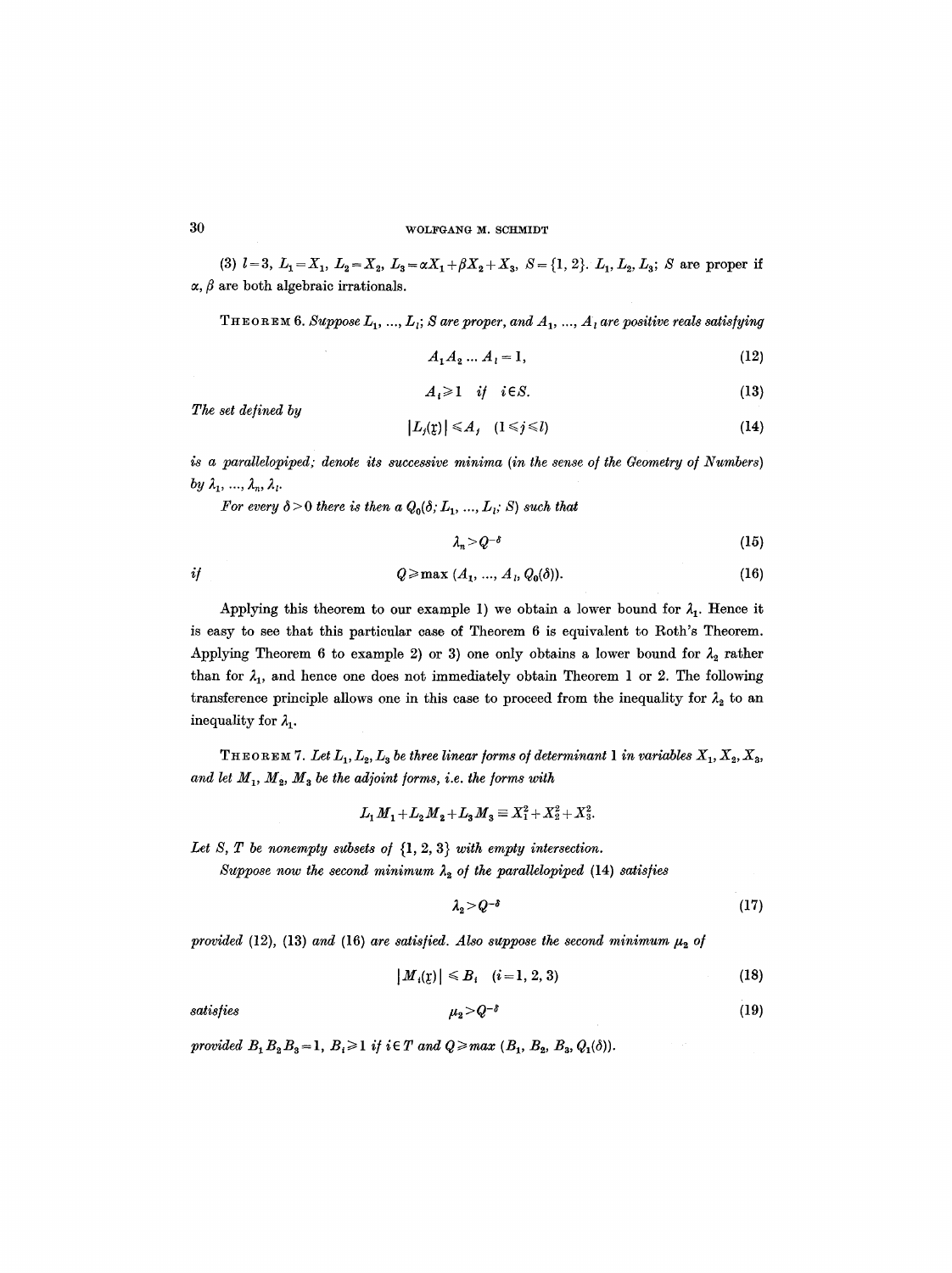(3)  $l=3, L_1=X_1, L_2=X_2, L_3=\alpha X_1+\beta X_2+X_3, S=\{1, 2\}.$   $L_1, L_2, L_3$ ; S are proper if  $\alpha$ ,  $\beta$  are both algebraic irrationals.

 $T$  **F E** OR **EM** 6. Suppose  $L_1$ , ...,  $L_i$ ; S are proper, and  $A_1$ , ...,  $A_i$  are positive reals satisfying

$$
A_1 A_2 ... A_l = 1,
$$
 (12)

$$
A_i \geq 1 \quad \text{if} \quad i \in S. \tag{13}
$$

*The set defined by* 

$$
|L_j(\mathfrak{x})| \leq A_j \quad (1 \leq j \leq l) \tag{14}
$$

is a parallelopiped; denote its successive minima (in the sense of the Geometry of Numbers) *by*  $\lambda_1, \ldots, \lambda_n, \lambda_l$ .

*For every*  $\delta$  > 0 *there is then a*  $Q_0(\delta; L_1, ..., L_i; S)$  *such that* 

$$
\lambda_n > Q^{-\delta} \tag{15}
$$

$$
Q \ge \max (A_1, ..., A_i, Q_0(\delta)). \tag{16}
$$

Applying this theorem to our example 1) we obtain a lower bound for  $\lambda_1$ . Hence it is easy to see that this particular case of Theorem 6 is equivalent to Roth's Theorem. Applying Theorem 6 to example 2) or 3) one only obtains a lower bound for  $\lambda_2$  rather than for  $\lambda_1$ , and hence one does not immediately obtain Theorem 1 or 2. The following transference principle allows one in this case to proceed from the inequality for  $\lambda_2$  to an inequality for  $\lambda_1$ .

THEOREM 7. Let  $L_1, L_2, L_3$  be three linear forms of determinant 1 in variables  $X_1, X_2, X_3$ , and let  $M_1$ ,  $M_2$ ,  $M_3$  be the adjoint forms, i.e. the forms with

$$
L_1 M_1 + L_2 M_2 + L_3 M_3 \equiv X_1^2 + X_2^2 + X_3^2.
$$

Let S, T be nonempty subsets of  $\{1, 2, 3\}$  with empty intersection.

*Suppose now the second minimum*  $\lambda_2$  *of the parallelopiped* (14) *satisfies* 

$$
\lambda_2 > Q^{-\delta} \tag{17}
$$

*provided* (12), (13) *and* (16) *are satisfied. Also suppose the second minimum*  $\mu_2$  *of* 

$$
|M_i(\mathbf{r})| \leq B_i \quad (i = 1, 2, 3) \tag{18}
$$

satisfies 
$$
\mu_2 > Q^{-\delta} \tag{19}
$$

*provided*  $B_1B_2B_3=1$ ,  $B_i\geq 1$  *if*  $i \in T$  *and*  $Q \geq max (B_1, B_2, B_3, Q_1(\delta)).$ 

 $\it if$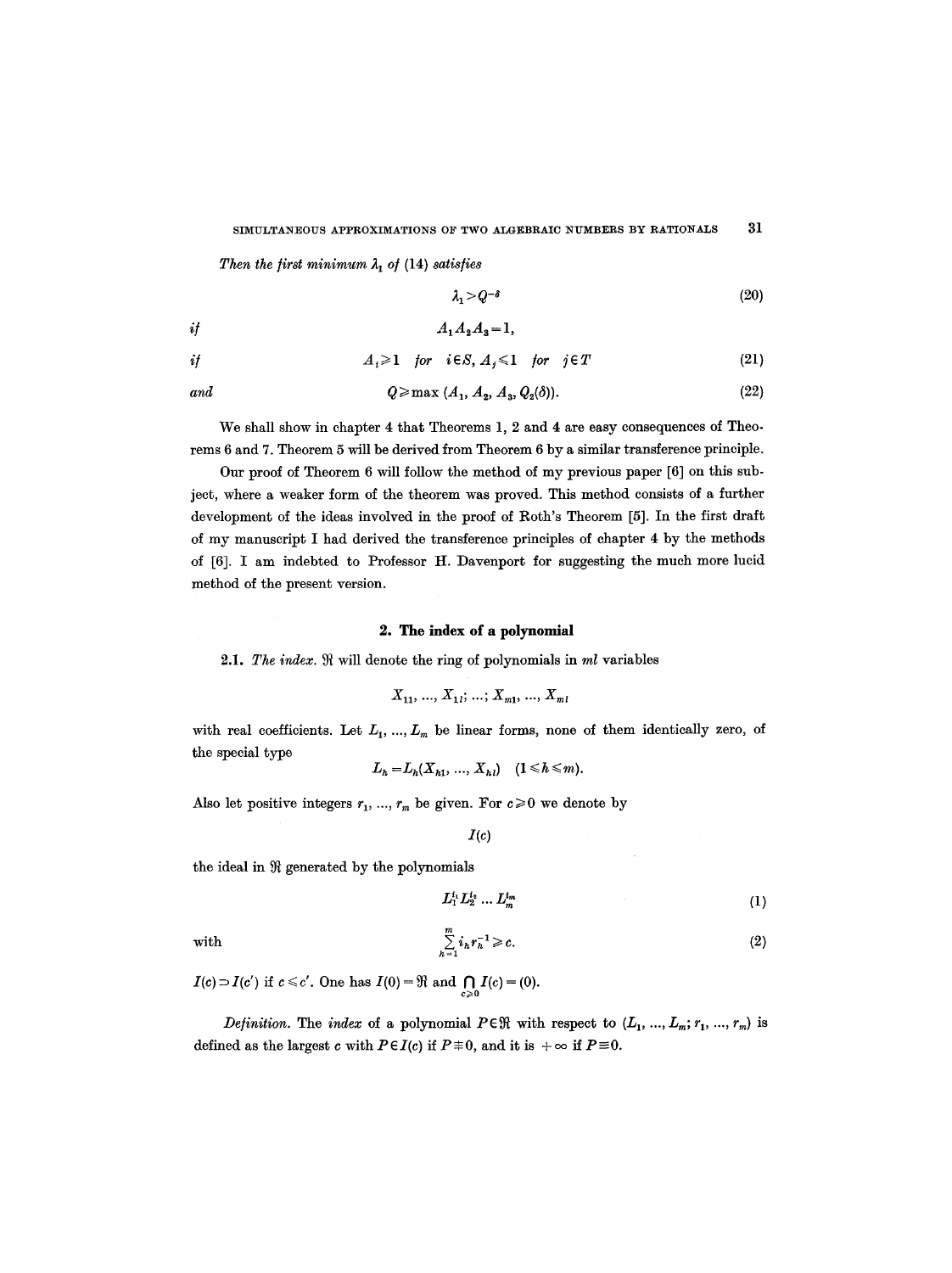Then the first minimum  $\lambda_1$  of (14) satisfies

$$
\lambda_1 > Q^{-\delta} \tag{20}
$$

$$
if \qquad \qquad A_1A_2A_3=1,
$$

$$
if \t A_i \geq 1 \t for \t i \in S, A_j \leq 1 \t for \t j \in T \t (21)
$$

$$
q \geq \max (A_1, A_2, A_3, Q_2(\delta)). \tag{22}
$$

We shall show in chapter 4 that Theorems 1, 2 and 4 are easy consequences of Theorems 6 and 7. Theorem 5 will be derived from Theorem 6 by a similar transference principle.

Our proof of Theorem 6 will follow the method of my previous paper [6] on this subject, where a weaker form of the theorem was proved. This method consists of a further development of the ideas involved in the proof of Roth's Theorem [5]. In the first draft of my manuscript I had derived the transference principles of chapter 4 by the methods of [6]. I am indebted to Professor H. Davenport for suggesting the much more lucid method of the present version.

## **2. The index of a polynomial**

2.1. The index.  $\Re$  will denote the ring of polynomials in *ml* variables

$$
X_{11}, ..., X_{1l}; ..., X_{m1}, ..., X_{m1}
$$

with real coefficients. Let  $L_1, ..., L_m$  be linear forms, none of them identically zero, of the special type

$$
L_h = L_h(X_{h1}, ..., X_{h1}) \quad (1 \le h \le m).
$$

Also let positive integers  $r_1, ..., r_m$  be given. For  $c \ge 0$  we denote by

$$
I(c)
$$

the ideal in  $~$  generated by the polynomials

$$
L_1^{i_1} L_2^{i_2} \dots L_m^{i_m} \tag{1}
$$

with 
$$
\sum_{h=1}^{m} i_h r_h^{-1} \geqslant c.
$$
 (2)

 $I(c) \supset I(c')$  if  $c \leq c'$ . One has  $I(0) = \Re$  and  $\bigcap_{c \geq 0} I(c) = (0)$ .

*Definition.* The *index* of a polynomial  $P \in \mathbb{R}$  with respect to  $(L_1, ..., L_m; r_1, ..., r_m)$  is defined as the largest c with  $P \in I(c)$  if  $P \not\equiv 0$ , and it is  $+\infty$  if  $P \equiv 0$ .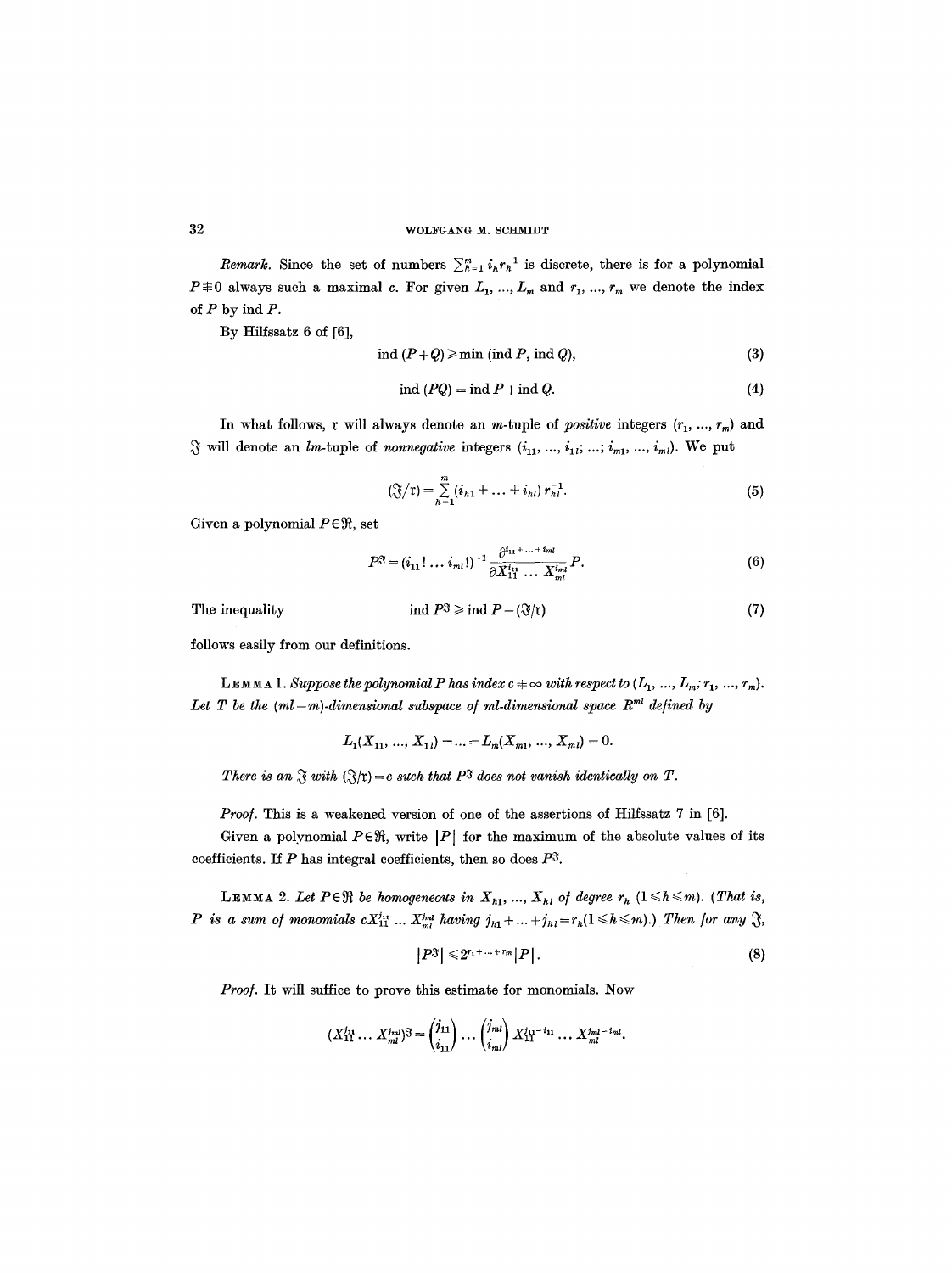*Remark.* Since the set of numbers  $\sum_{k=1}^{m} i_k r_k^{-1}$  is discrete, there is for a polynomial  $P \not\equiv 0$  always such a maximal c. For given  $L_1, ..., L_m$  and  $r_1, ..., r_m$  we denote the index of  $P$  by ind  $P$ .

By Hilfssatz 6 of [6],

$$
ind (P+Q) \geqslant min (ind P, ind Q), \tag{3}
$$

$$
ind (PQ) = ind P + ind Q.
$$
 (4)

In what follows, r will always denote an *m*-tuple of *positive* integers  $(r_1, ..., r_m)$  and  $\mathcal{S}$  will denote an *lm*-tuple of *nonnegative* integers  $(i_1, ..., i_1, ..., i_m, ..., i_m)$ . We put

$$
\left(\frac{\gamma}{\zeta}\right)\left(r\right) = \sum_{h=1}^{m} \left(i_{h1} + \ldots + i_{hl}\right) r_{h1}^{-1}.\tag{5}
$$

Given a polynomial  $P \in \mathfrak{R}$ , set

$$
P^{\mathfrak{F}} = (i_{11}! \ldots i_{ml}!)^{-1} \frac{\partial^{i_{11}+\ldots+i_{ml}}}{\partial X_{11}^{i_{11}} \ldots X_{ml}^{i_{ml}}} P.
$$
 (6)

The inequality

$$
\text{ind } P^{\mathfrak{F}} \geqslant \text{ind } P - (\mathfrak{F}/\mathfrak{r}) \tag{7}
$$

follows easily from our definitions.

**LEMMA** 1. Suppose the polynomial P has index  $c \neq \infty$  with respect to  $(L_1, ..., L_m; r_1, ..., r_m)$ . Let  $T$  be the  $(ml-m)$ -dimensional subspace of ml-dimensional space  $R<sup>ml</sup>$  defined by

$$
L_1(X_{11},\ldots,X_{1l})=\ldots=L_m(X_{m1},\ldots,X_{ml})=0.
$$

*There is an*  $\mathcal{F}$  with  $(\mathcal{F}/r) = c$  such that  $P^3$  does not vanish identically on T.

*Proof.* This is a weakened version of one of the assertions of Hilfssatz 7 in [6].

Given a polynomial  $P \in \mathfrak{R}$ , write  $|P|$  for the maximum of the absolute values of its coefficients. If  $P$  has integral coefficients, then so does  $P^3$ .

LEMMA 2. Let  $P \in \mathbb{R}$  be homogeneous in  $X_{h1}, ..., X_{h1}$  of degree  $r_h$   $(1 \le h \le m)$ . (That is, *P* is a sum of monomials  $cX_{11}^{j_{11}}...X_{ml}^{j_{ml}}$  having  $j_{h1}+...+j_{h1}=r_h(1 \le h \le m)$ .) Then for any  $\mathfrak{F}$ ,

$$
\left|P^{\mathfrak{F}}\right| \leqslant 2^{r_1+\ldots+r_m} \left|P\right|.
$$
 (8)

*Proo].* It will suffice to prove this estimate for monomials. Now

$$
(X_{11}^{j_{11}}\ldots X_{ml}^{j_{ml}})^3 = \begin{pmatrix} j_{11} \\ i_{11} \end{pmatrix} \ldots \begin{pmatrix} j_{ml} \\ i_{ml} \end{pmatrix} X_{11}^{j_{11}-i_{11}} \ldots X_{ml}^{j_{ml}-i_{ml}}.
$$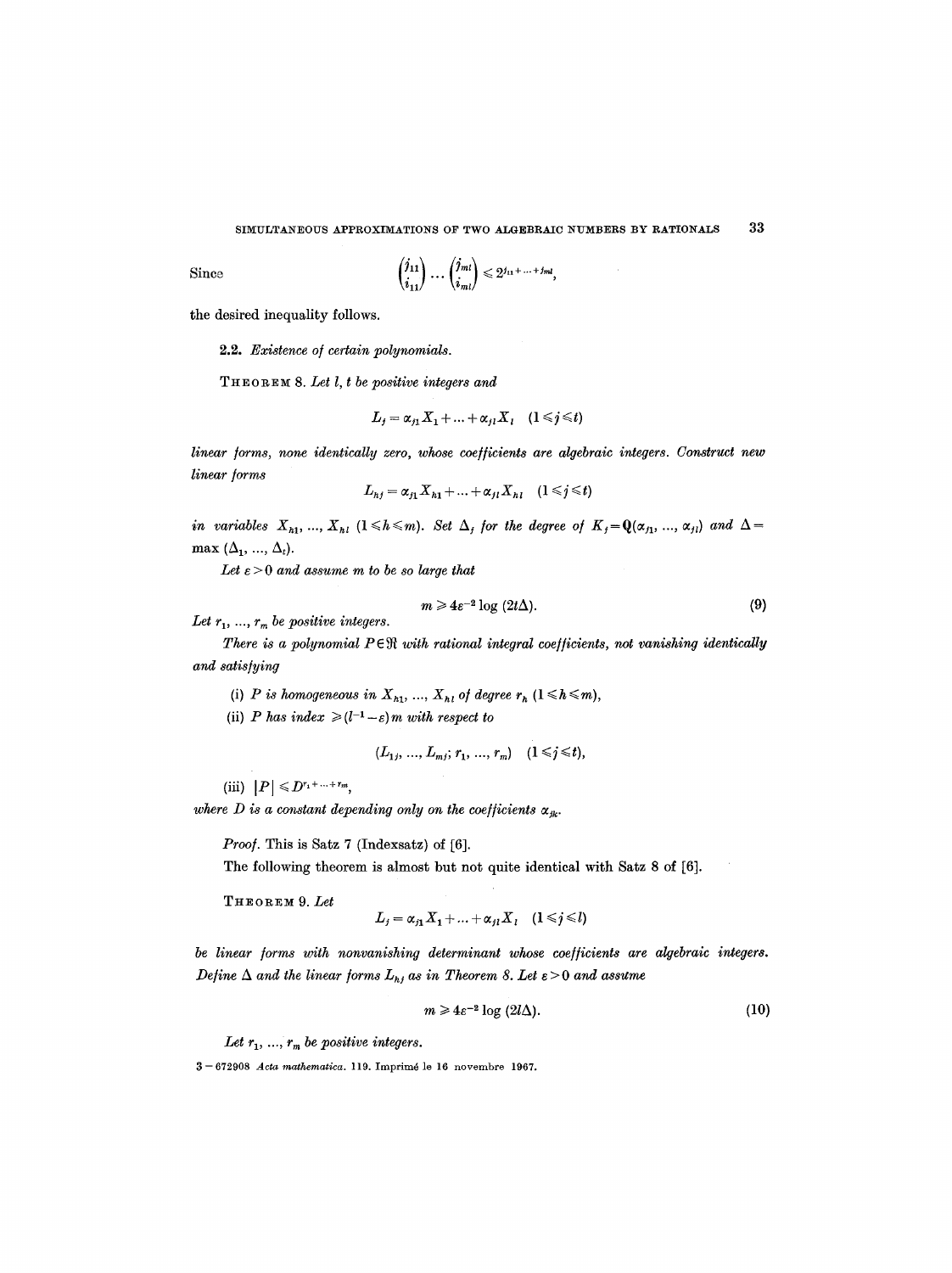Since

$$
\binom{j_{11}}{i_{11}}\ldots\binom{j_{ml}}{i_{ml}}\leqslant 2^{j_{11}+\ldots+j_{ml}},
$$

the desired inequality follows.

2.2. *Existence o/certain polynomials.* 

THEORE~ 8. *Let l, t be positive integers and* 

$$
L_j = \alpha_{j1} X_1 + \dots + \alpha_{jl} X_l \quad (1 \leq j \leq t)
$$

*linear forms, none identically zero, whose coefficients are algebraic integers. Construct new linear/orms* 

$$
L_{hj} = \alpha_{j1} X_{h1} + \ldots + \alpha_{j1} X_{h1} \quad (1 \leq j \leq t)
$$

*in variables*  $X_{h1}$ , ...,  $X_{h1}$  ( $1 \le h \le m$ ). *Set*  $\Delta_j$  *for the degree of*  $K_j = \mathbf{Q}(\alpha_{j1}, \ldots, \alpha_{jl})$  *and*  $\Delta =$ max  $(\Delta_1, ..., \Delta_t)$ .

*Let e > 0 and assume m to be so large that* 

$$
m \geqslant 4\epsilon^{-2} \log \left(2t\Delta\right). \tag{9}
$$

Let  $r_1, ..., r_m$  be positive integers.

*There is a polynomial PER with rational integral coefficients, not vanishing identically and satis/ying* 

(i) *P is homogeneous in*  $X_{h1}$ , ...,  $X_{h1}$  *of degree*  $r_h$  ( $1 \leq h \leq m$ ),

(ii) *P* has index  $\geq (l^{-1} - \varepsilon) m$  with respect to

$$
(L_{1j},...,L_{mj};r_1,...,r_m) \quad (1 \leq j \leq t),
$$

(iii)  $|P| \leq D^{r_1+\ldots+r_m}$ ,

where D is a constant depending only on the coefficients  $\alpha_{jk}$ .

*Proof.* This is Satz 7 (Indexsatz) of [6].

The following theorem is almost but not quite identical with Satz 8 of [6].

THEOREM 9. *Let* 

$$
L_j = \alpha_{j1} X_1 + \ldots + \alpha_{jl} X_l \quad (1 \leq j \leq l)
$$

be linear forms with nonvanishing determinant whose coefficients are algebraic integers. *Define*  $\Delta$  and the linear forms  $L_{hj}$  as in Theorem 8. Let  $\varepsilon > 0$  and assume

$$
m \geqslant 4\varepsilon^{-2} \log \left(2l\Delta\right). \tag{10}
$$

Let  $r_1, \ldots, r_m$  be positive integers.

3--672908 *Acts mathematica.* 119. Imprim6 lo 16 novembro 1967.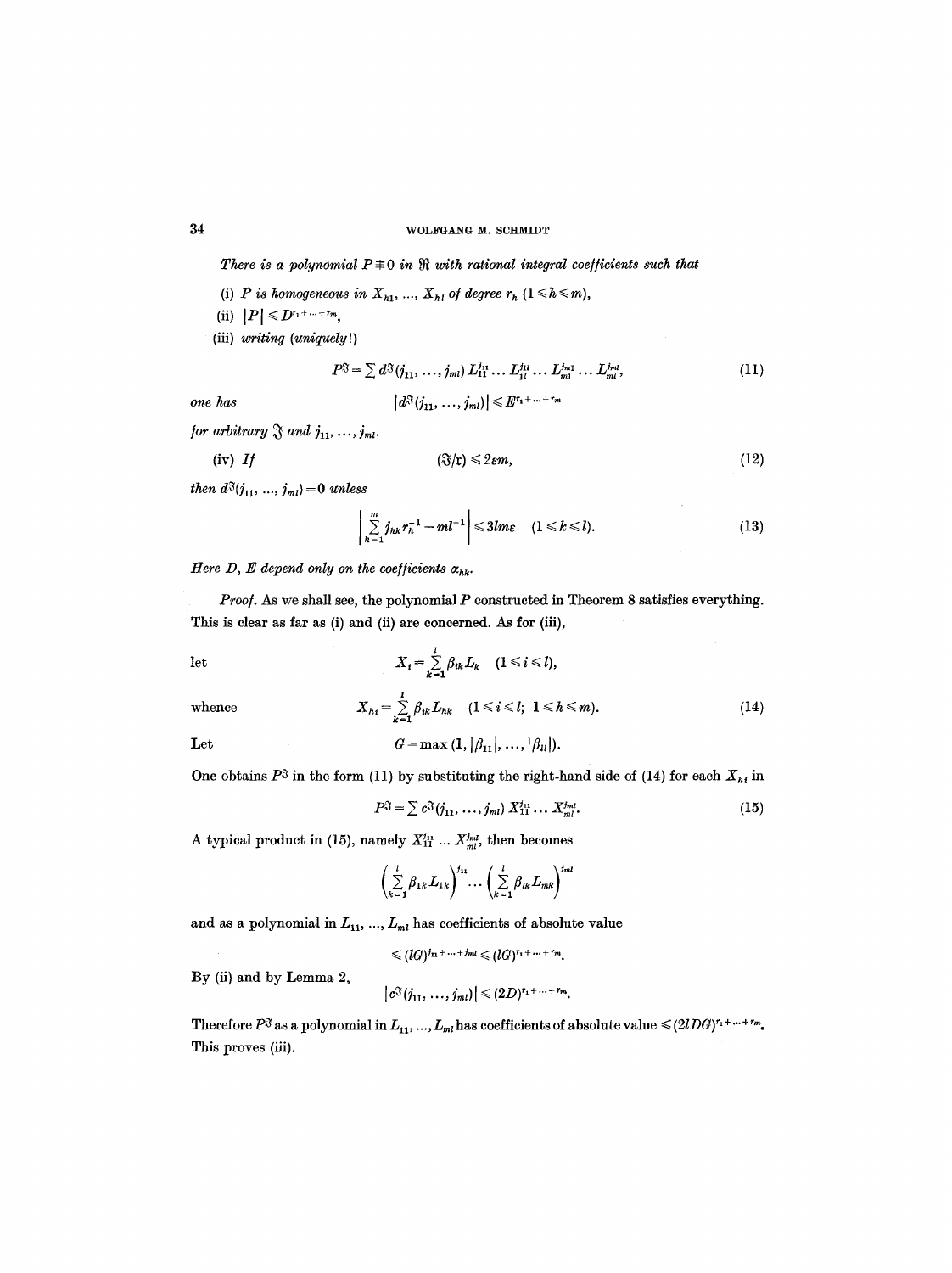There is a polynomial  $P \equiv 0$  in  $\Re$  with rational integral coefficients such that

(i) *P* is homogeneous in  $X_{h1}$ , ...,  $X_{h1}$  of degree  $r_h$  ( $1 \leq h \leq m$ ),

$$
(ii) |P| \leqslant D^{r_1+\ldots+r_m},
$$

(iii) *writing (uniquely!)* 

$$
P^{\mathfrak{F}} = \sum d^{\mathfrak{F}}(j_{11}, \ldots, j_{ml}) L_{11}^{j_{11}} \ldots L_{1l}^{j_{1l}} \ldots L_{m1}^{j_{m1}} \ldots L_{ml}^{j_{ml}},
$$
\n
$$
|d^{\mathfrak{F}}(j_{11}, \ldots, j_{m1})| \leqslant E^{r_1 + \ldots + r_m}
$$
\n(11)

*one has* 

$$
|\mathbf{w} \cdot (y_{11}, \ldots, y_{m1})| \leq 1
$$

for arbitrary 
$$
\mathfrak{F}
$$
 and  $j_{11}, \ldots, j_{m1}$ .

$$
(iv) \tIf \t\t\t (3/t) \leq 2\varepsilon m, \t\t(12)
$$

*then*  $d^3(j_{11}, ..., j_{ml}) = 0$  *unless* 

$$
\left|\sum_{h=1}^m j_{hk}r_h^{-1}-ml^{-1}\right|\leqslant 3lm\varepsilon \quad (1\leqslant k\leqslant l). \tag{13}
$$

*Here D, E depend only on the coefficients*  $\alpha_{hk}$ .

Proof. As we shall see, the polynomial P constructed in Theorem 8 satisfies everything. This is clear as far as (i) and (ii) are concerned. As for (iii),

let 
$$
X_i = \sum_{k=1}^l \beta_{ik} L_k \quad (1 \leq i \leq l),
$$

whence 
$$
X_{h_i} = \sum_{k=1}^{l} \beta_{ik} L_{hk}
$$
  $(1 \le i \le l; 1 \le h \le m).$  (14)

Let 
$$
G = \max (1, |\beta_{11}|, ..., |\beta_{ll}|).
$$

One obtains  $P^3$  in the form (11) by substituting the right-hand side of (14) for each  $X_{hi}$  in

$$
P^{\mathfrak{F}} = \sum c^{\mathfrak{F}}(j_{11}, \ldots, j_{ml}) \, X_{11}^{j_{11}} \ldots X_{ml}^{j_{ml}}.
$$
 (15)

A typical product in (15), namely  $X_{11}^{j_1} \ldots X_{ml}^{j_{ml}}$ , then becomes

$$
\left(\sum_{k=1}^l \beta_{1k} L_{1k}\right)^{j_{11}} \cdots \left(\sum_{k=1}^l \beta_{lk} L_{mk}\right)^{j_{ml}}
$$

and as a polynomial in  $L_{\scriptstyle 11},\, ...,\, L_{\scriptscriptstyle ml}$  has coefficients of absolute value

$$
\leq (lG)^{j_{11}+\ldots+j_{ml}} \leq (lG)^{r_1+\ldots+r_m}.
$$

By (ii) and by Lemma 2,

$$
|c^{\mathfrak{F}}(j_{11},...,j_{ml})| \leq (2D)^{r_1+...+r_m}.
$$

Therefore  $P^{\mathfrak{F}}$  as a polynomial in  $L_1, ..., L_m$  has coefficients of absolute value  $\leq (2lDG)^{r_1 + ... + r_m}$ . This proves (iii).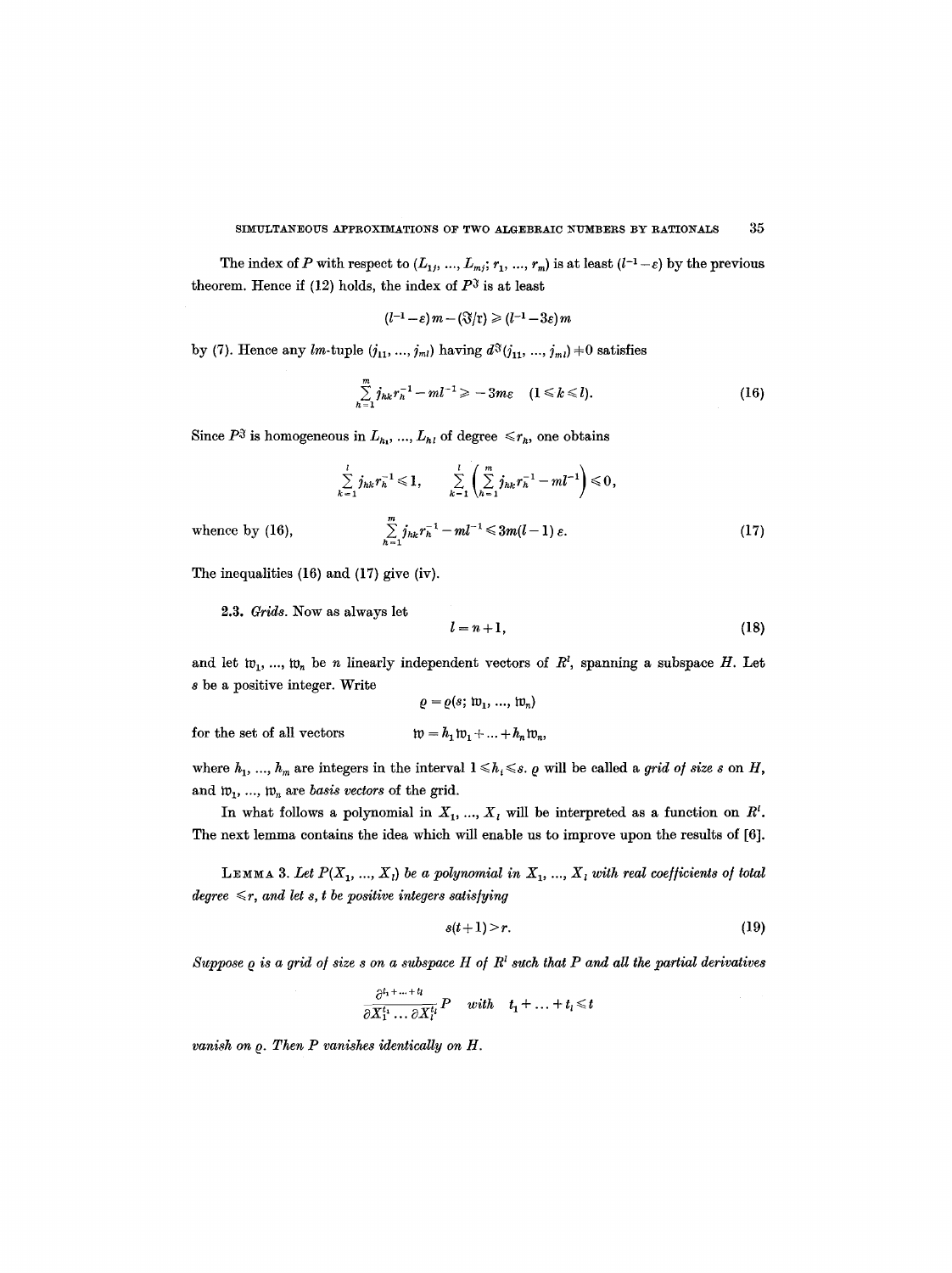The index of P with respect to  $(L_1, ..., L_m; r_1, ..., r_m)$  is at least  $(l^{-1} - \varepsilon)$  by the previous theorem. Hence if (12) holds, the index of  $P<sup>3</sup>$  is at least

$$
(l^{-1}-\varepsilon) m - (\Im/\mathfrak{r}) \geq (l^{-1}-3\varepsilon) m
$$

by (7). Hence any lm-tuple  $(j_{11}, ..., j_{ml})$  having  $d^{\mathfrak{F}}(j_{11}, ..., j_{ml}) \neq 0$  satisfies

$$
\sum_{h=1}^{m} j_{hk} r_h^{-1} - m l^{-1} \geq -3m\varepsilon \quad (1 \leq k \leq l). \tag{16}
$$

Since  $P^{\mathfrak{F}}$  is homogeneous in  $L_{h_1}, \ldots, L_{h_l}$  of degree  $\leq r_h$ , one obtains

$$
\sum_{k=1}^{l} j_{hk} r_h^{-1} \leq 1, \qquad \sum_{k=1}^{l} \left( \sum_{h=1}^{m} j_{hk} r_h^{-1} - m l^{-1} \right) \leq 0,
$$
\n
$$
\sum_{h=1}^{m} j_{hk} r_h^{-1} - m l^{-1} \leq 3m (l-1) \varepsilon. \tag{17}
$$

whence by (16),

The inequalities (16) and (17) give (iv).

2.3. *Grids.* Now as always let

$$
l = n + 1,\tag{18}
$$

and let  $w_1, ..., w_n$  be n linearly independent vectors of  $R^l$ , spanning a subspace H. Let s be a positive integer. Write

$$
\varrho = \varrho(s; \mathfrak{w}_1, \dots, \mathfrak{w}_n)
$$

$$
\mathfrak{w} = h_1 \mathfrak{w}_1 + \dots + h_n \mathfrak{w}_n
$$

for the set of all vectors  $\mathfrak{w} = h_1 \mathfrak{w}_1 + ... + h_n \mathfrak{w}_n$ ,

where  $h_1, ..., h_m$  are integers in the interval  $1 \leq h_i \leq s$ .  $\varrho$  will be called a *grid of size s* on H, and  $w_1$ , ...,  $w_n$  are *basis vectors* of the grid.

In what follows a polynomial in  $X_1, ..., X_l$  will be interpreted as a function on  $R^l$ . The next lemma contains the idea which will enable us to improve upon the results of [6].

LEMMA 3. Let  $P(X_1, ..., X_i)$  be a polynomial in  $X_1, ..., X_i$  with real coefficients of total *degree*  $\leq r$ , and let s, t be positive integers satisfying

$$
s(t+1) > r. \tag{19}
$$

 $Suppose$   $\varrho$  is a grid of size  $s$  on a subspace  $H$  of  $R<sup>i</sup>$  such that  $P$  and all the partial derivatives

$$
\frac{\partial^{t_1+\ldots+t_l}}{\partial X_1^{t_1}\ldots\partial X_l^{t_l}}P \quad with \quad t_1+\ldots+t_l\leq t
$$

*vanish on*  $\varrho$ *. Then P vanishes identically on H.*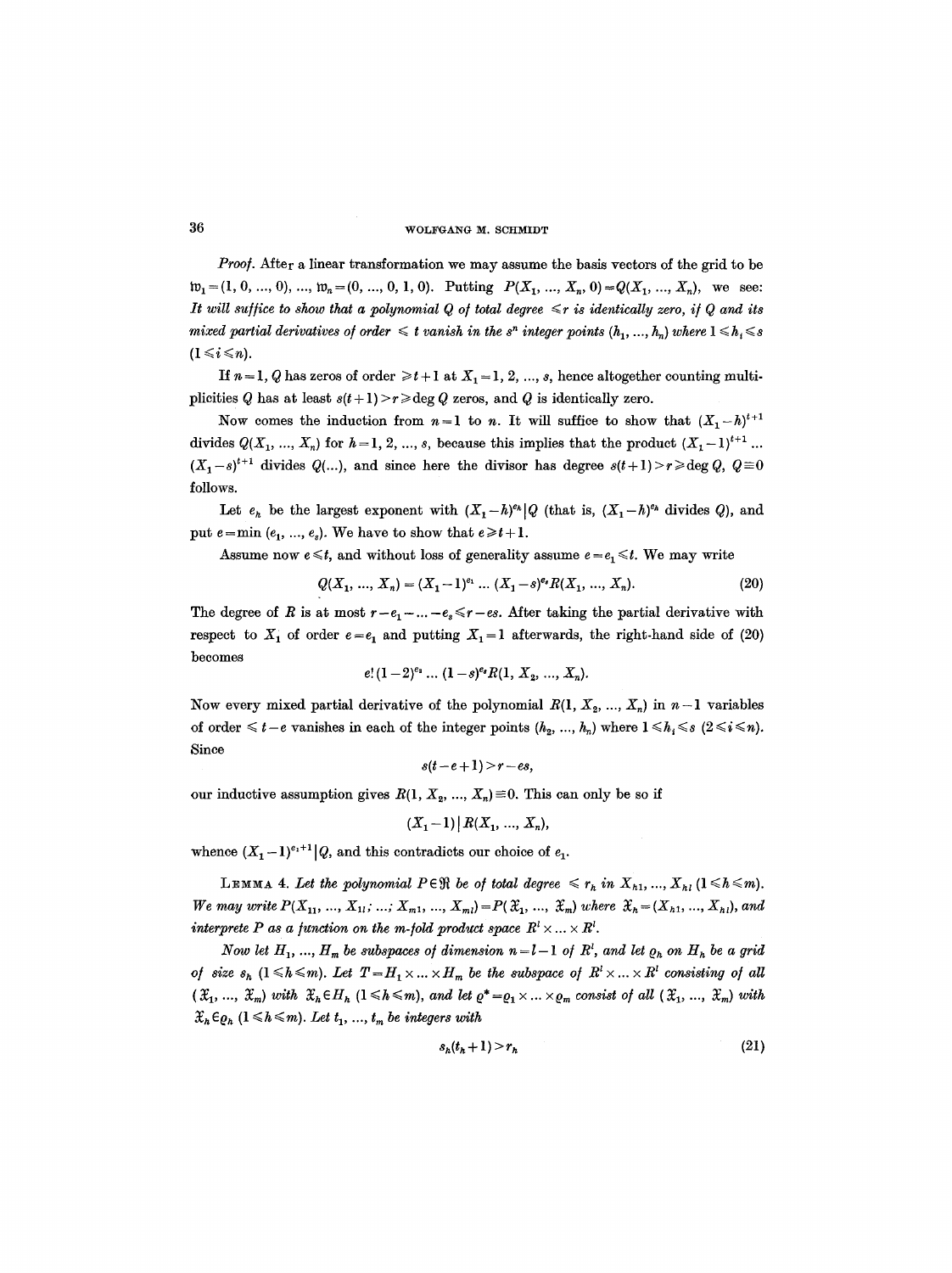Proof. After a linear transformation we may assume the basis vectors of the grid to be  $\mathfrak{w}_1 = (1, 0, ..., 0), ..., \mathfrak{w}_n = (0, ..., 0, 1, 0).$  Putting  $P(X_1, ..., X_n, 0) = Q(X_1, ..., X_n),$  we see: It will suffice to show that a polynomial Q of total degree  $\leq r$  is identically zero, if Q and its *mixed partial derivatives of order*  $\leq t$  *vanish in the s<sup>n</sup> integer points*  $(h_1, ..., h_n)$  where  $1 \leq h_i \leq s$  $(1 \leq i \leq n)$ .

If  $n=1$ , Q has zeros of order  $\geq t+1$  at  $X_1=1, 2, ..., s$ , hence altogether counting multiplicities Q has at least  $s(t+1) > r \geqslant \deg Q$  zeros, and Q is identically zero.

Now comes the induction from  $n=1$  to n. It will suffice to show that  $(X_1-h)^{t+1}$ divides  $Q(X_1, ..., X_n)$  for  $h = 1, 2, ..., s$ , because this implies that the product  $(X_1 - 1)^{t+1}$ ...  $(X_1-s)^{t+1}$  divides  $Q(...)$ , and since here the divisor has degree  $s(t+1)>r\geqslant \deg Q$ ,  $Q=0$ follows.

Let  $e_h$  be the largest exponent with  $(X_1-h)^{e_h}|Q$  (that is,  $(X_1-h)^{e_h}$  divides Q), and put  $e = min (e_1, ..., e_s)$ . We have to show that  $e \ge t+1$ .

Assume now  $e \le t$ , and without loss of generality assume  $e = e_1 \le t$ . We may write

$$
Q(X_1, ..., X_n) = (X_1 - 1)^{e_1} ... (X_1 - s)^{e_n} R(X_1, ..., X_n).
$$
 (20)

The degree of R is at most  $r-e_1-\ldots-e_s \le r-es$ . After taking the partial derivative with respect to  $X_1$  of order  $e = e_1$  and putting  $X_1 = 1$  afterwards, the right-hand side of (20) becomes

$$
e!(1-2)^{e_2} \dots (1-s)^{e_s}R(1, X_2, \dots, X_n).
$$

Now every mixed partial derivative of the polynomial  $R(1, X_2, ..., X_n)$  in  $n-1$  variables of order  $\leq t-e$  vanishes in each of the integer points  $(h_2, ..., h_n)$  where  $1 \leq h_i \leq s$  ( $2 \leq i \leq n$ ). Since

$$
s(t-e+1) > r-es,
$$

our inductive assumption gives  $R(1, X_2, ..., X_n) \equiv 0$ . This can only be so if

$$
(X_1-1)\,|\,R(X_1, \, ..., \, X_n),
$$

whence  $(X_1-1)^{e_1+1}|Q$ , and this contradicts our choice of  $e_1$ .

**LEMMA 4. Let the polynomial**  $P \in \mathcal{R}$  **be of total degree**  $\leq r_h$  **in**  $X_{h1}, ..., X_{h1}$  **(** $1 \leq h \leq m$ **).** *We may write*  $P(X_{11}, ..., X_{1l}; ..., X_{m1}, ..., X_{ml}) = P(\mathfrak{X}_1, ..., \mathfrak{X}_m)$  *where*  $\mathfrak{X}_h = (X_{h1}, ..., X_{hl})$ *, and interprete P as a function on the m-fold product space*  $R^l \times \ldots \times R^l$ .

*Now let*  $H_1, ..., H_m$  be subspaces of dimension  $n=l-1$  of  $R^l$ , and let  $\varrho_h$  on  $H_h$  be a grid *of size*  $s_h$   $(1 \leq h \leq m)$ . Let  $T = H_1 \times ... \times H_m$  be the subspace of  $R^l \times ... \times R^l$  consisting of all  $({\mathfrak X}_1, ..., {\mathfrak X}_m)$  with  ${\mathfrak X}_h \in H_h$   $(1 \le h \le m)$ , and let  $\varrho^* = \varrho_1 \times ... \times \varrho_m$  consist of all  $({\mathfrak X}_1, ..., {\mathfrak X}_m)$  with  $\mathfrak{X}_h \in \mathfrak{g}_h$  ( $1 \leq h \leq m$ ). Let  $t_1, ..., t_m$  be integers with

$$
s_h(t_h+1) > r_h \tag{21}
$$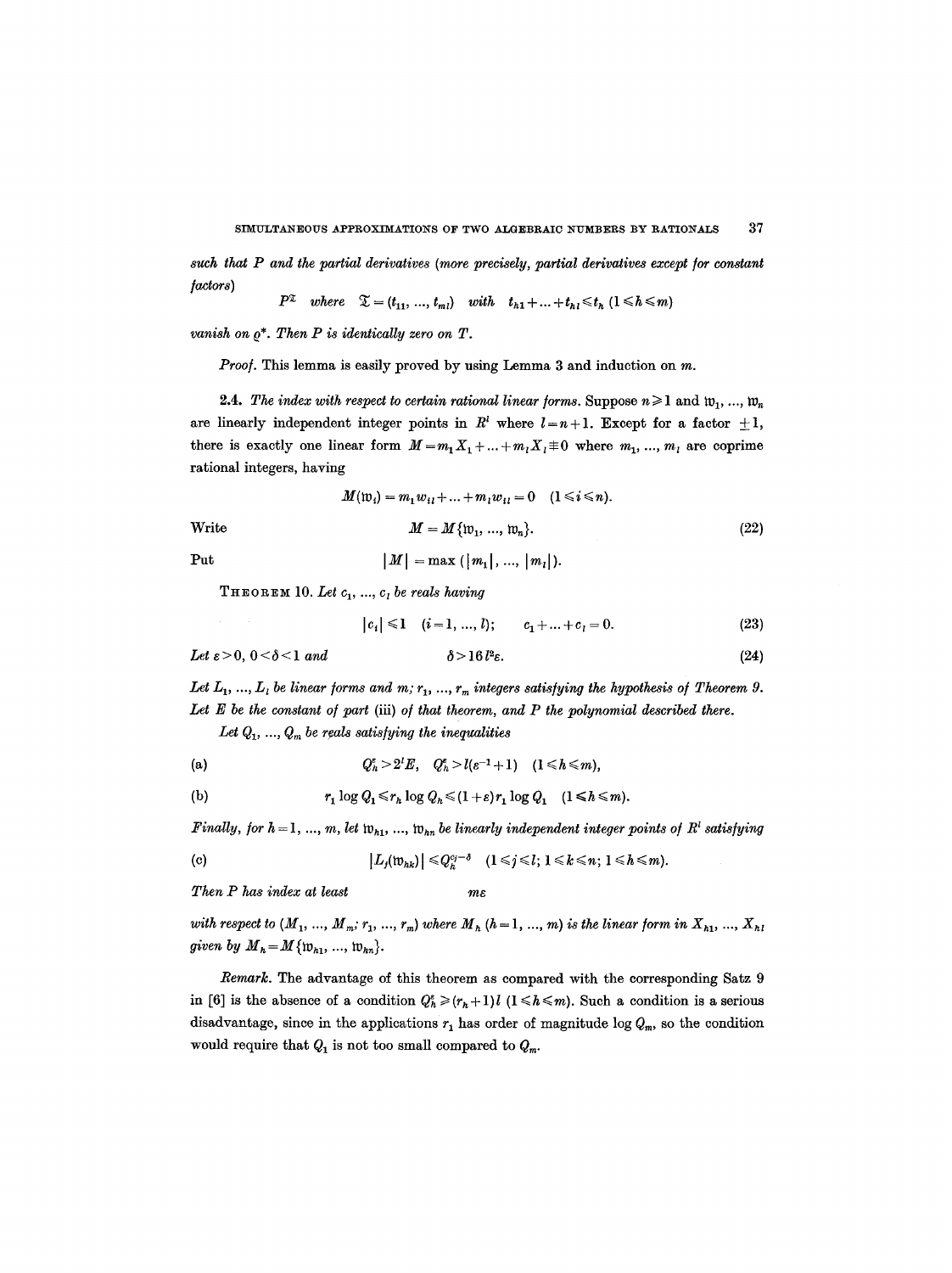*such that P and the partial derivatives (more precisely, partial derivatives except/or constant ]actors)* 

$$
P^{\mathfrak{X}}\quad where \quad \mathfrak{X}=(t_{11},\ldots,t_{m1})\quad with \quad t_{h1}+\ldots+t_{h1}\leq t_h\,\,(1\leq h\leq m)
$$

*vanish on*  $\rho^*$ . Then P is identically zero on T.

*Proo/.* This lemma is easily proved by using Lemma 3 and induction on m.

2.4. *The index with respect to certain rational linear forms.* Suppose  $n \geq 1$  and  $w_1, ..., w_n$ are linearly independent integer points in  $R<sup>i</sup>$  where  $l=n+1$ . Except for a factor  $\pm 1$ , there is exactly one linear form  $M = m_1 X_1 + ... + m_l X_l \equiv 0$  where  $m_1, ..., m_l$  are coprime rational integers, having

$$
M(\mathfrak{w}_i) = m_1 w_{i1} + \dots + m_i w_{i1} = 0 \quad (1 \le i \le n).
$$
  
Write 
$$
M = M \{ \mathfrak{w}_1, \dots, \mathfrak{w}_n \}.
$$
 (22)

Put  $|M| = \max (|m_1|, ..., |m_l|).$ 

 $THEOREM 10.$  *Let*  $c_1$ , ...,  $c_i$  *be reals having* 

 $|c_i| \leq 1 \quad (i=1, ..., l);$   $c_1 + ... + c_l = 0.$  (23)

Let 
$$
\varepsilon > 0
$$
,  $0 < \delta < 1$  and  $\delta > 16 l^2 \varepsilon$ . (24)

Let  $L_1, ..., L_i$  be linear forms and m;  $r_1, ..., r_m$  integers satisfying the hypothesis of Theorem 9. Let E be the constant of part (iii) of that theorem, and P the polynomial described there.

Let  $Q_1, ..., Q_m$  be reals satisfying the inequalities

$$
(a) \hspace{1cm} Q^{\varepsilon}_h > 2^l E, \hspace{0.3cm} Q^{\varepsilon}_h > l(\varepsilon^{-1}+1) \hspace{0.3cm} (1 \leq h \leq m),
$$

(b) 
$$
r_1 \log Q_1 \leq r_h \log Q_h \leq (1+\varepsilon)r_1 \log Q_1 \quad (1 \leq h \leq m).
$$

*Finally, for h* = 1, ..., m, let  $w_{h1}$ , ...,  $w_{hn}$  be linearly independent integer points of  $R<sup>1</sup>$  satisfying

(c) 
$$
|L_j(\mathfrak{w}_{hk})| \leq Q_h^{c_j-\delta} \quad (1 \leq j \leq l; 1 \leq k \leq n; 1 \leq h \leq m).
$$

*Then P has index at least me* 

*with respect to*  $(M_1, ..., M_m; r_1, ..., r_m)$  where  $M_h$   $(h = 1, ..., m)$  is the linear form in  $X_{h1}, ..., X_{h1}$ *given by*  $M_h = M \{ \mathfrak{w}_{h1}, ..., \mathfrak{w}_{hn} \}.$ 

*Remark.* The advantage of this theorem as compared with the corresponding Satz 9 in [6] is the absence of a condition  $Q_h^e \ge (r_h + 1)l$  (1  $\le h \le m$ ). Such a condition is a serious disadvantage, since in the applications  $r_1$  has order of magnitude log  $Q_m$ , so the condition would require that  $Q_1$  is not too small compared to  $Q_m$ .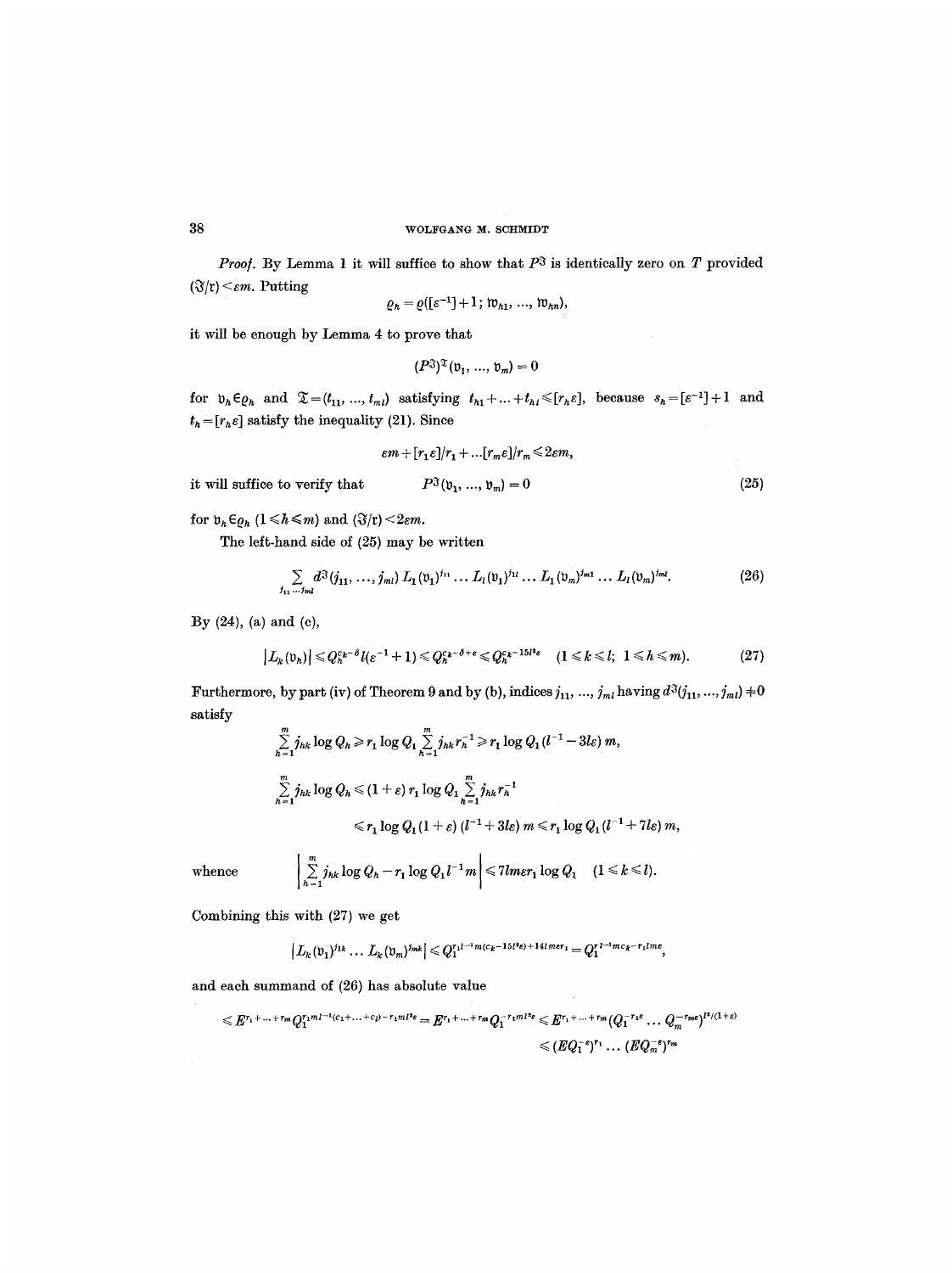*Proof.* By Lemma 1 it will suffice to show that  $P^3$  is identically zero on  $T$  provided  $(\mathfrak{F}/\mathfrak{r}) \leq \varepsilon m$ . Putting

$$
\varrho_h = \varrho([\varepsilon^{-1}] + 1; w_{h1}, ..., w_{hn}),
$$

it will be enough by Lemma 4 to prove that

$$
(P^{\mathfrak{J}})^{\mathfrak{T}}(\mathfrak{v}_1, \ldots, \mathfrak{v}_m) = 0
$$

for  $v_h \in \mathfrak{g}_h$  and  $\mathfrak{T} = (t_{11}, \ldots, t_{ml})$  satisfying  $t_{h1} + \ldots + t_{hl} \leqslant [r_h \varepsilon]$ , because  $s_h = [\varepsilon^{-1}] + 1$  and  $t_h = [r_h \varepsilon]$  satisfy the inequality (21). Since

$$
\varepsilon m+[r_1\varepsilon]/r_1+\ldots[r_m\varepsilon]/r_m\leq 2\varepsilon m,
$$

**(25)** 

it will suffice to verify that  $P^{\mathfrak{F}}(\mathfrak{v}_1, ..., \mathfrak{v}_m) = 0$ 

for  $v_h \in \varrho_h$   $(1 \leq h \leq m)$  and  $(\Im \xi)(r) < 2\epsilon m$ .

The left-hand side of (25) may be written

$$
\sum_{j_{11} \ldots j_{ml}} d^{\mathfrak{F}}(j_{11}, \ldots, j_{ml}) L_1(\mathfrak{v}_1)^{j_{11}} \ldots L_l(\mathfrak{v}_1)^{j_{1l}} \ldots L_1(\mathfrak{v}_m)^{j_{m1}} \ldots L_l(\mathfrak{v}_m)^{j_{ml}}.
$$
 (26)

:By (24), (a) and (c),

$$
\left|L_k(\mathfrak{v}_h)\right| \leqslant Q_h^{c_k-\delta}l(\varepsilon^{-1}+1) \leqslant Q_h^{c_k-\delta+\varepsilon} \leqslant Q_h^{c_k-15l^2\varepsilon} \quad (1 \leqslant k \leqslant l; \ 1 \leqslant h \leqslant m). \tag{27}
$$

Furthermore, by part (iv) of Theorem 9 and by (b), indices  $j_{11}, ..., j_{ml}$  having  $d^3(j_{11}, ..., j_{ml}) \neq 0$ satisfy

$$
\sum_{h=1}^{m} j_{hk} \log Q_h \ge r_1 \log Q_1 \sum_{h=1}^{m} j_{hk} r_h^{-1} \ge r_1 \log Q_1 (l^{-1} - 3l\varepsilon) m,
$$
  

$$
\sum_{h=1}^{m} j_{hk} \log Q_h \le (1 + \varepsilon) r_1 \log Q_1 \sum_{h=1}^{m} j_{hk} r_h^{-1}
$$
  

$$
\le r_1 \log Q_1 (1 + \varepsilon) (l^{-1} + 3l\varepsilon) m \le r_1 \log Q_1 (l^{-1} + 7l\varepsilon) m,
$$

whence  $\left|\sum_{h=1}^m j_{hk}\log Q_h - r_1\log Q_1 l^{-1}m\right| \leq 7l m \varepsilon r_1\log Q_1 \quad (1 \leq k \leq l).$ 

Combining this with (27) we get

$$
\left| L_k(\mathfrak{v}_1)^{j_{1k}} \dots L_k(\mathfrak{v}_m)^{j_{mk}} \right| \leqslant Q_1^{r_1 l^{-1} m(c_k - 15 l^* \epsilon) + 14 l m \epsilon r_1} = Q_1^{r_1 l^{-1} m c_k - r_1 l m \epsilon},
$$

and each summand of (26) has absolute value

$$
\leqslant E^{r_1+\ldots+r_m}Q_1^{r_1m_1-r_1}c_1+\ldots+c_1-r_1m_1n_1s} = E^{r_1+\ldots+r_m}Q_1^{-r_1m_1n_1s} \leqslant E^{r_1+\ldots+r_m}(Q_1^{-r_1s}\ldots Q_m^{-r_m s})^{r_1/(1+s)} \n\leqslant (EQ_1^{-s})^{r_1}\ldots (EQ_m^{-s})^{r_m}
$$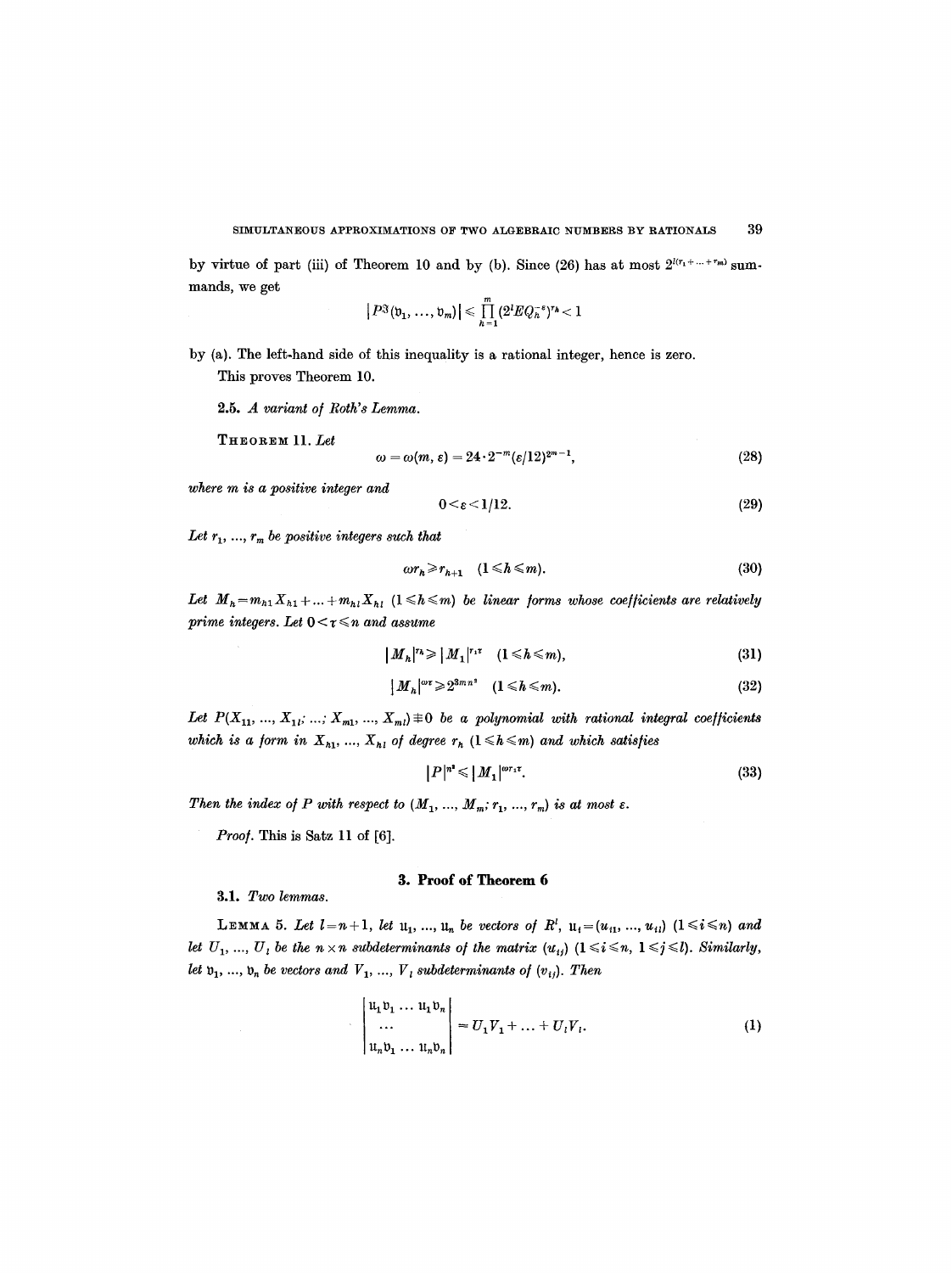by virtue of part (iii) of Theorem 10 and by (b). Since (26) has at most  $2^{l(r_1+\ldots+r_m)}$  summands, we get

$$
|P^{\mathfrak{F}}(\mathfrak{v}_1,\ldots,\mathfrak{v}_m)| \leqslant \prod_{h=1}^m (2^l E Q_h^{-\varepsilon})^{r_h} < 1
$$

by (a). The left.hand side of this inequality is a rational integer, hence is zero. This proves Theorem 10.

*2.5. A variant o/ Roth's Lemma.* 

THEOREM 11. *Let* 

$$
\omega = \omega(m, \varepsilon) = 24 \cdot 2^{-m} (\varepsilon/12)^{2m-1},\tag{28}
$$

*where m is a positive integer and* 

$$
0 < \varepsilon < 1/12. \tag{29}
$$

Let  $r_1, ..., r_m$  be positive integers such that

$$
\omega r_h \geq r_{h+1} \quad (1 \leq h \leq m). \tag{30}
$$

Let  $M_h = m_{h1}X_{h1} + ... + m_{hl}X_{h1}$  ( $1 \leq h \leq m$ ) be linear forms whose coefficients are relatively *prime integers. Let*  $0 < r \leq n$  *and assume* 

$$
|M_h|^{r_h} \geq |M_1|^{r_1 r} \quad (1 \leq h \leq m), \tag{31}
$$

$$
\left| M_{h} \right|^{2} \geqslant 2^{3mn^{2}} \quad (1 \leqslant h \leqslant m). \tag{32}
$$

Let  $P(X_{11}, ..., X_{1i}; ...; X_{m1}, ..., X_{ml}) \neq 0$  be a polynomial with rational integral coefficients *which is a form in*  $X_{h1}$ , ...,  $X_{h1}$  of degree  $r_h$  ( $1 \leq h \leq m$ ) and which satisfies

$$
|P|^{n^*} \leqslant |M_1|^{\omega r_1 \tau}.\tag{33}
$$

*Then the index of P with respect to*  $(M_1, ..., M_m; r_1, ..., r_m)$  *is at most*  $\varepsilon$ *.* 

*Proo/.* This is Satz 11 of [6].

 $\bar{\lambda}$ 

## **3. Proof of Theorem 6**

3.1. *Two lemmas.* 

**LEMMA 5.** Let  $l=n+1$ , let  $u_1, ..., u_n$  be vectors of  $R^l$ ,  $u_i=(u_{i1}, ..., u_{il})$   $(1 \leq i \leq n)$  and *let*  $U_1, ..., U_i$  be the  $n \times n$  subdeterminants of the matrix  $(u_{ij})$   $(1 \leq i \leq n, 1 \leq j \leq l)$ . Similarly, *let*  $v_1, ..., v_n$  *be vectors and*  $V_1, ..., V_i$  *subdeterminants of*  $(v_{ij})$ *. Then* 

$$
\begin{vmatrix} u_1v_1 \dots u_1v_n \\ \dots \\ u_nv_1 \dots u_nv_n \end{vmatrix} = U_1V_1 + \dots + U_iV_i.
$$
 (1)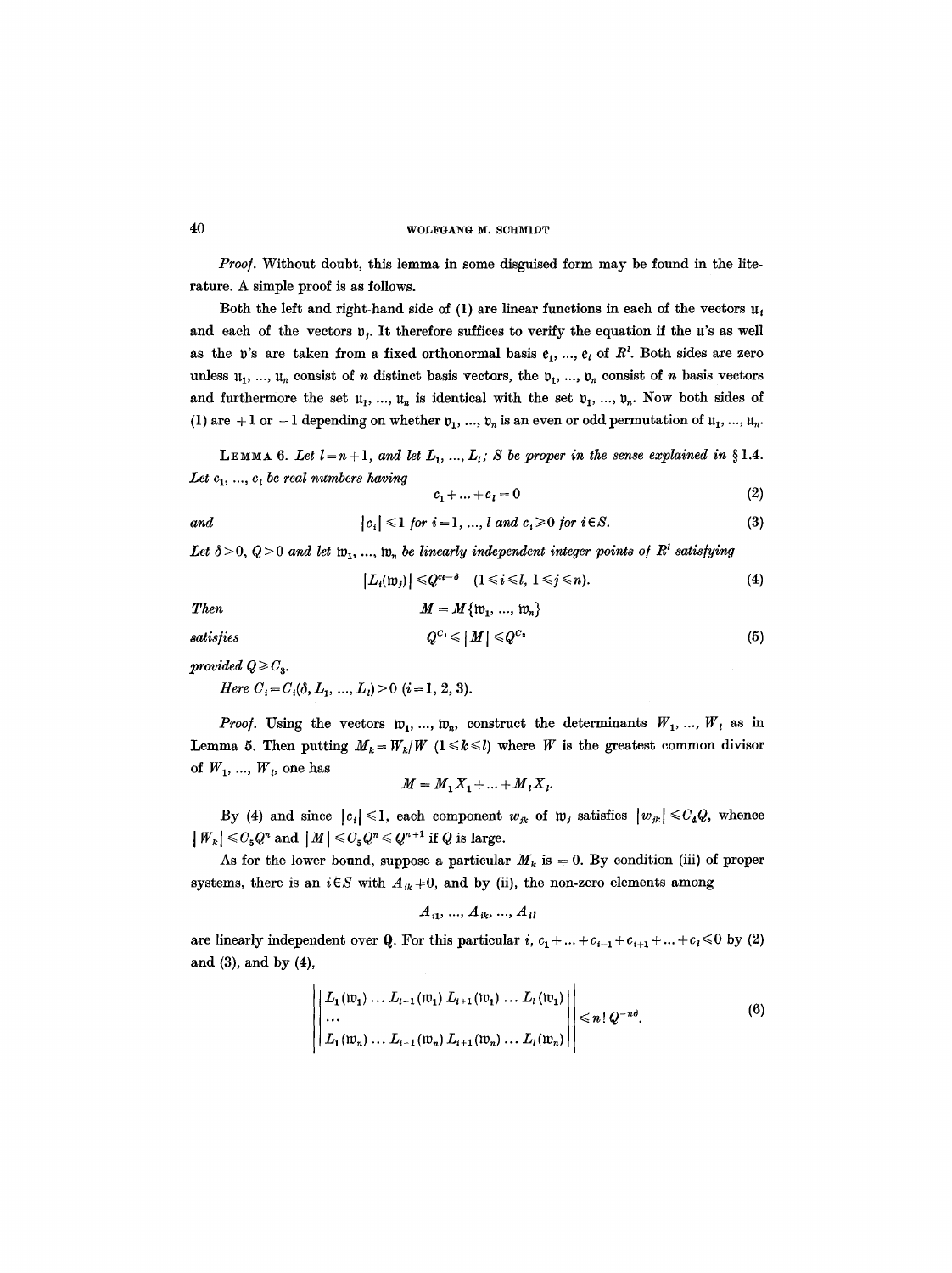Proof. Without doubt, this lemma in some disguised form may be found in the literature. A simple proof is as follows.

Both the left and right-hand side of (1) are linear functions in each of the vectors  $u_t$ and each of the vectors  $v_i$ . It therefore suffices to verify the equation if the  $u$ 's as well as the v's are taken from a fixed orthonormal basis  $e_1, ..., e_k$  of  $R^i$ . Both sides are zero unless  $u_1, ..., u_n$  consist of n distinct basis vectors, the  $v_1, ..., v_n$  consist of n basis vectors and furthermore the set  $u_1, ..., u_n$  is identical with the set  $v_1, ..., v_n$ . Now both sides of (1) are +1 or -1 depending on whether  $v_1, ..., v_n$  is an even or odd permutation of  $u_1, ..., u_n$ .

**LEMMA** 6. Let  $l=n+1$ , and let  $L_1, ..., L_l$ ; S be proper in the sense explained in §1.4. Let  $c_1, ..., c_l$  be real numbers having

$$
c_1 + \ldots + c_l = 0 \tag{2}
$$

$$
|c_i| \leq 1 \text{ for } i = 1, ..., l \text{ and } c_i \geq 0 \text{ for } i \in S. \tag{3}
$$

 $M = M\{w_1, ..., w_n\}$ 

Let  $\delta > 0$ ,  $Q > 0$  and let  $\mathfrak{w}_1, \ldots, \mathfrak{w}_n$  be linearly independent integer points of  $R^l$  satisfying

$$
|L_i(\mathfrak{w}_j)| \leq Q^{c_i-\delta} \quad (1 \leq i \leq l, \ 1 \leq j \leq n). \tag{4}
$$

*Then* 

*satisfies* 

$$
Q^{C_1} \leqslant |M| \leqslant Q^{C_2} \tag{5}
$$

*provided*  $Q \geq C_3$ *.* 

*Here*  $C_i = C_i(\delta, L_1, ..., L_i) > 0$  (*i* = 1, 2, 3).

*Proof.* Using the vectors  $w_1, ..., w_n$ , construct the determinants  $W_1, ..., W_i$  as in Lemma 5. Then putting  $M_k = W_k/W$  ( $1 \le k \le l$ ) where W is the greatest common divisor of  $W_1, ..., W_k$ , one has

$$
M = M_1 X_1 + \ldots + M_l X_l.
$$

By (4) and since  $|c_i| \leq 1$ , each component  $w_{jk}$  of  $w_j$  satisfies  $|w_{jk}| \leq C_4 Q$ , whence  $|W_k| \leq C_5 Q^n$  and  $|M| \leq C_5 Q^n \leq Q^{n+1}$  if Q is large.

As for the lower bound, suppose a particular  $M_k$  is  $\neq 0$ . By condition (iii) of proper systems, there is an  $i \in S$  with  $A_{ik}$  +0, and by (ii), the non-zero elements among

$$
A_{i1}, ..., A_{ik}, ..., A_{il}
$$

are linearly independent over Q. For this particular i,  $c_1 + ... + c_{i-1} + c_{i+1} + ... + c_l \leq 0$  by (2) and (3), and by (4),

$$
\left\| \begin{bmatrix} L_1(\mathfrak{w}_1) \dots L_{i-1}(\mathfrak{w}_1) L_{i+1}(\mathfrak{w}_1) \dots L_{i}(\mathfrak{w}_1) \\ \dots \\ L_1(\mathfrak{w}_n) \dots L_{i-1}(\mathfrak{w}_n) L_{i+1}(\mathfrak{w}_n) \dots L_{i}(\mathfrak{w}_n) \end{bmatrix} \right\| \leq n! Q^{-n\delta}.
$$
 (6)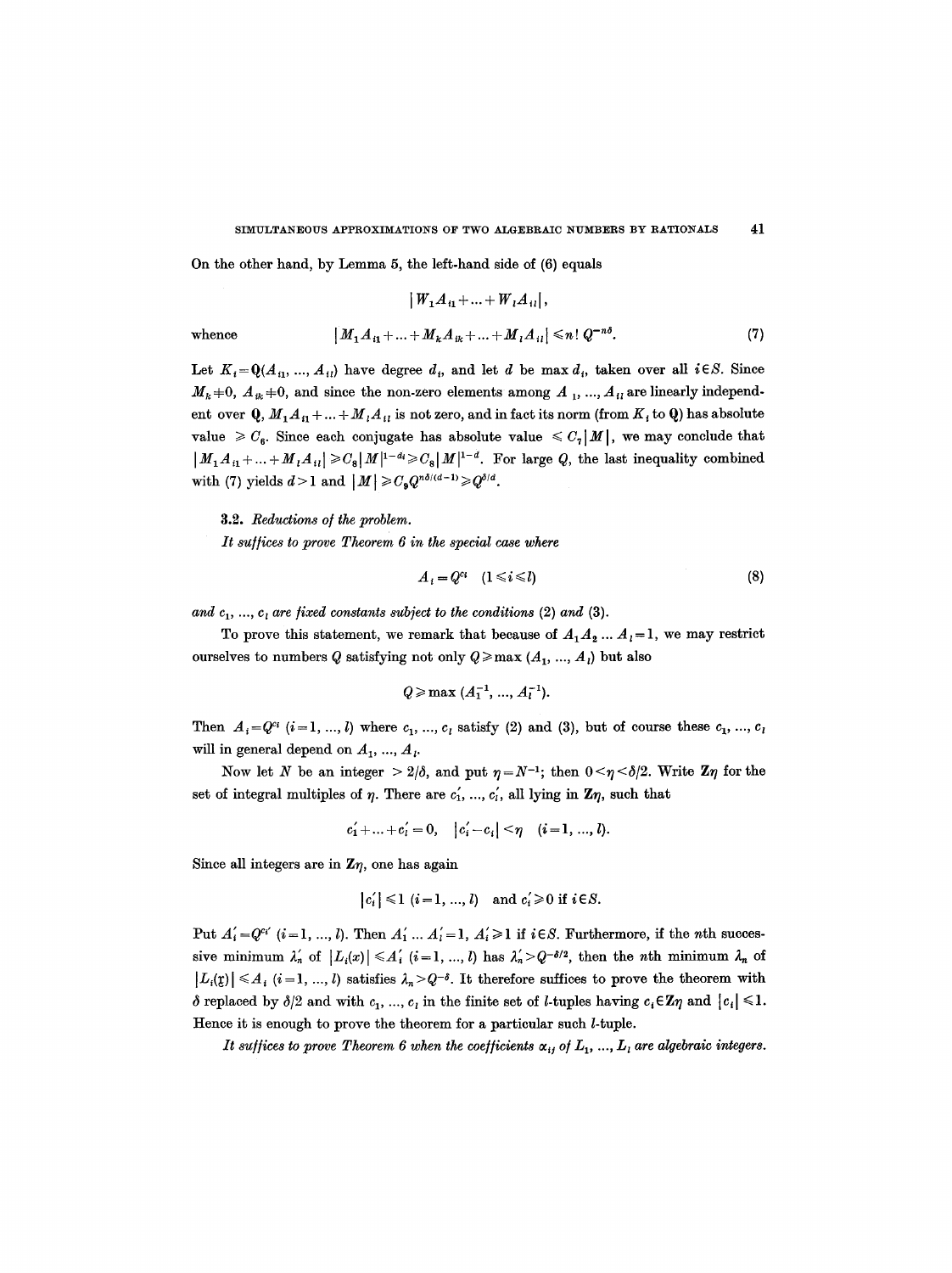On the other hand, by Lemma 5, the left-hand side of (6) equals

$$
|W_1A_{i1}+...+W_iA_{i\ell}|,
$$

whence 
$$
[M_1 A_{i1} + ... + M_k A_{ik} + ... + M_i A_{i1}] \leq n! Q^{-n\delta}.
$$
 (7)

Let  $K_i = Q(A_{i1}, ..., A_{il})$  have degree  $d_i$ , and let  $d$  be max  $d_i$ , taken over all  $i \in S$ . Since  $M_k + 0$ ,  $A_{ik} + 0$ , and since the non-zero elements among  $A_1$ , ...,  $A_{il}$  are linearly independent over  $Q, M_1A_{i1}+...+M_{i}A_{i1}$  is not zero, and in fact its norm (from  $K_i$  to  $Q$ ) has absolute value  $\geq C_6$ . Since each conjugate has absolute value  $\leq C_7|M|$ , we may conclude that  $|M_1A_{i1}+...+M_{i}A_{i1}| \geqslant C_8|M|^{1-d} \geqslant C_8|M|^{1-d}$ . For large Q, the last inequality combined with (7) yields  $d>1$  and  $|M| \geqslant C_9 Q^{n\delta/(d-1)} \geqslant Q^{\delta/d}$ .

3.2. *Reductions of the problem.* 

*It su/fices to prove Theorem 6 in the special case where* 

$$
A_i = Q^{c_i} \quad (1 \leq i \leq l) \tag{8}
$$

and  $c_1$ , ...,  $c_i$  are fixed constants subject to the conditions  $(2)$  and  $(3)$ .

To prove this statement, we remark that because of  $A_1A_2...A_i=1$ , we may restrict ourselves to numbers Q satisfying not only  $Q \ge \max (A_1, ..., A_l)$  but also

$$
Q \geqslant \max \ (A_1^{-1}, \, \ldots, \, A_l^{-1}).
$$

Then  $A_i = Q^{c_i}$   $(i=1, ..., l)$  where  $c_1, ..., c_l$  satisfy (2) and (3), but of course these  $c_1, ..., c_l$ will in general depend on  $A_1, ..., A_l$ .

Now let N be an integer  $> 2/\delta$ , and put  $\eta = N^{-1}$ ; then  $0 \le \eta \le \delta/2$ . Write  $\mathbb{Z}\eta$  for the set of integral multiples of  $\eta$ . There are  $c'_1$ , ...,  $c'_i$ , all lying in  $\mathbb{Z}\eta$ , such that

$$
c'_1 + ... + c'_i = 0
$$
,  $|c'_i - c_i| < \eta$   $(i = 1, ..., l)$ .

Since all integers are in  $\mathbb{Z}\eta$ , one has again

$$
|c_i'|\leq 1 \ (i=1,\,...,\,l) \quad \text{and} \ c_i'\geq 0 \ \text{if} \ i\in S.
$$

Put  $A'_i = Q^{c_i'}$   $(i=1, ..., l)$ . Then  $A'_1 ... A'_l = 1$ ,  $A'_i \geq 1$  if  $i \in S$ . Furthermore, if the *n*th successive minimum  $\lambda'_n$  of  $|L_i(x)| \leq A'_i$  (i=1, ..., l) has  $\lambda'_n > Q^{-\delta/2}$ , then the *n*th minimum  $\lambda_n$  of  $|L_i(\mathfrak{x})| \leq A_i$  (*i*=1, ..., *l*) satisfies  $\lambda_n > Q^{-\delta}$ . It therefore suffices to prove the theorem with  $\delta$  replaced by  $\delta/2$  and with  $c_1, ..., c_i$  in the finite set of *l*-tuples having  $c_i \in \mathbb{Z}\eta$  and  $|c_i| \leq 1$ . Hence it is enough to prove the theorem for a particular such l-tuple.

*It suffices to prove Theorem 6 when the coefficients*  $\alpha_{ij}$  of  $L_1$ , ...,  $L_i$  are algebraic integers.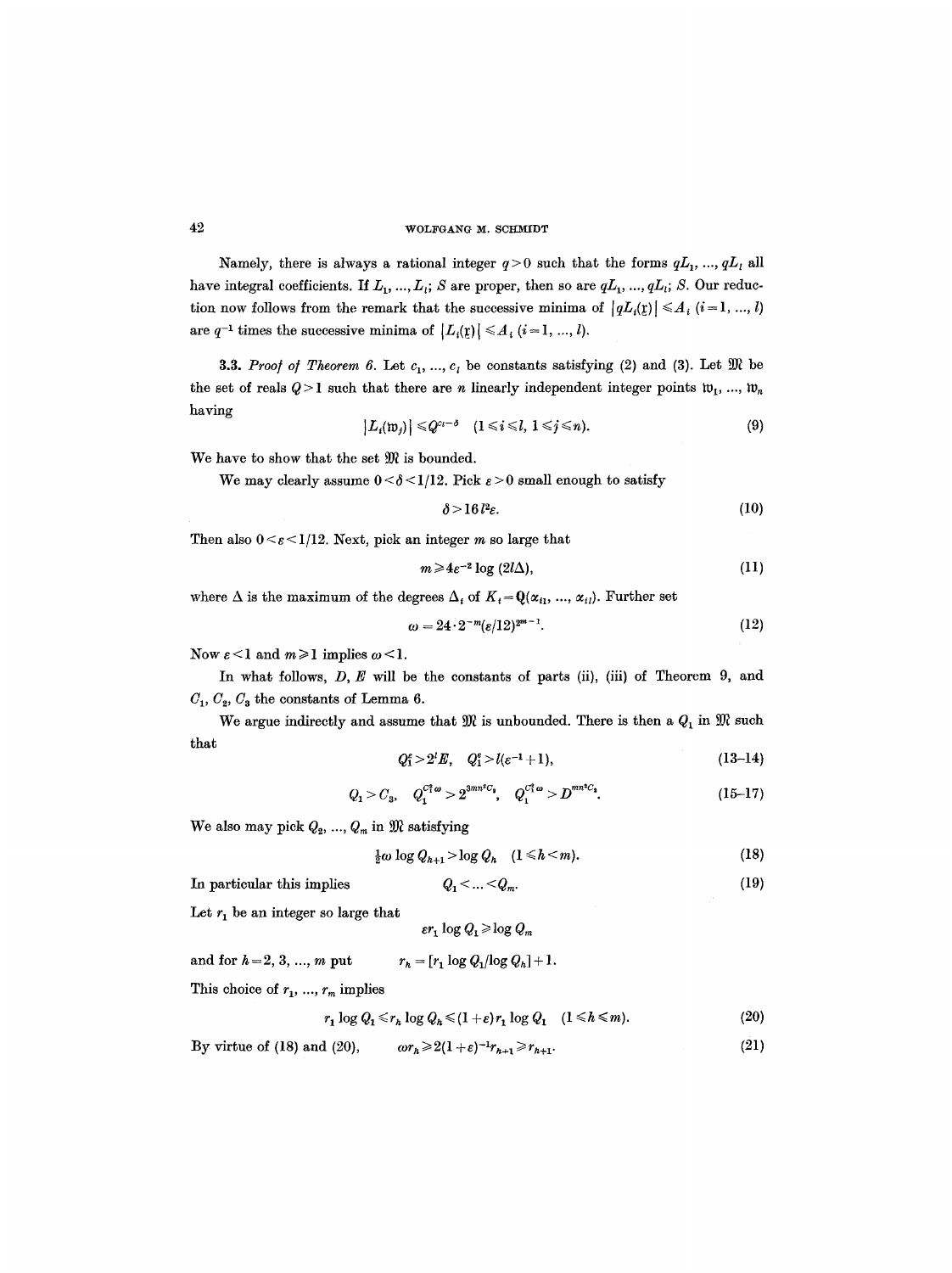Namely, there is always a rational integer  $q>0$  such that the forms  $qL_1$ , ...,  $qL_l$  all have integral coefficients. If  $L_1, ..., L_i$ ; S are proper, then so are  $qL_1, ..., qL_i$ ; S. Our reduction now follows from the remark that the successive minima of  $|qL_i(\mathbf{x})| \leq A_i$   $(i = 1, ..., l)$ are  $q^{-1}$  times the successive minima of  $|L_i(\mathfrak{x})| \leq A_i$   $(i = 1, ..., l)$ .

**3.3.** *Proof of Theorem 6.* Let  $c_1, ..., c_i$  be constants satisfying (2) and (3). Let  $\mathfrak{M}$  be the set of reals  $Q > 1$  such that there are n linearly independent integer points  $w_1, ..., w_n$ having

$$
|L_i(\mathfrak{w}_j)| \leq Q^{c_i-\delta} \quad (1 \leq i \leq l, \ 1 \leq j \leq n). \tag{9}
$$

We have to show that the set  $\mathfrak{M}$  is bounded.

We may clearly assume  $0 < \delta < 1/12$ . Pick  $\varepsilon > 0$  small enough to satisfy

$$
\delta > 16 l^2 \varepsilon. \tag{10}
$$

Then also  $0 \leq \varepsilon \leq 1/12$ . Next, pick an integer m so large that

$$
m \geq 4\varepsilon^{-2} \log \left(2l\Delta\right),\tag{11}
$$

where  $\Delta$  is the maximum of the degrees  $\Delta_i$  of  $K_i = \mathbf{Q}(\alpha_{i1}, ..., \alpha_{i_l})$ . Further set

$$
\omega = 24 \cdot 2^{-m} (\varepsilon / 12)^{2^{m-1}}.
$$
\n
$$
(12)
$$

Now  $\varepsilon < 1$  and  $m \ge 1$  implies  $\omega < 1$ .

In what follows,  $D, E$  will be the constants of parts (ii), (iii) of Theorem 9, and  $C_1, C_2, C_3$  the constants of Lemma 6.

We argue indirectly and assume that  $\mathfrak{M}$  is unbounded. There is then a  $Q_1$  in  $\mathfrak{M}$  such that

$$
Q_1^{\varepsilon} > 2^l E, \quad Q_1^{\varepsilon} > l(\varepsilon^{-1} + 1), \tag{13-14}
$$

$$
Q_1 > C_3, \quad Q_1^{C_1^* \omega} > 2^{3mn^* C_1}, \quad Q_1^{C_1^* \omega} > D^{mn^* C_2}.
$$
 (15-17)

We also may pick  $Q_2, ..., Q_m$  in  $\mathfrak{M}$  satisfying

$$
\tfrac{1}{2}\omega\log Q_{h+1} > \log Q_h \quad (1 \leq h < m). \tag{18}
$$

In particular this implies 
$$
Q_1 < ... < Q_m
$$
. (19)

Let  $r_1$  be an integer so large that

$$
\varepsilon r_1 \log Q_1 \!\geqslant \!\log Q_m
$$

and for  $h = 2, 3, ..., m$  put  $r_h = [r_1 \log Q_1 / \log Q_h] + 1.$ 

This choice of  $r_1, ..., r_m$  implies

$$
r_1 \log Q_1 \le r_h \log Q_h \le (1+\varepsilon)r_1 \log Q_1 \quad (1 \le h \le m). \tag{20}
$$

By virtue of (18) and (20),  $\omega r_h \geq 2(1+\varepsilon)^{-1}r_{h+1} \geq r_{h+1}$ . (21)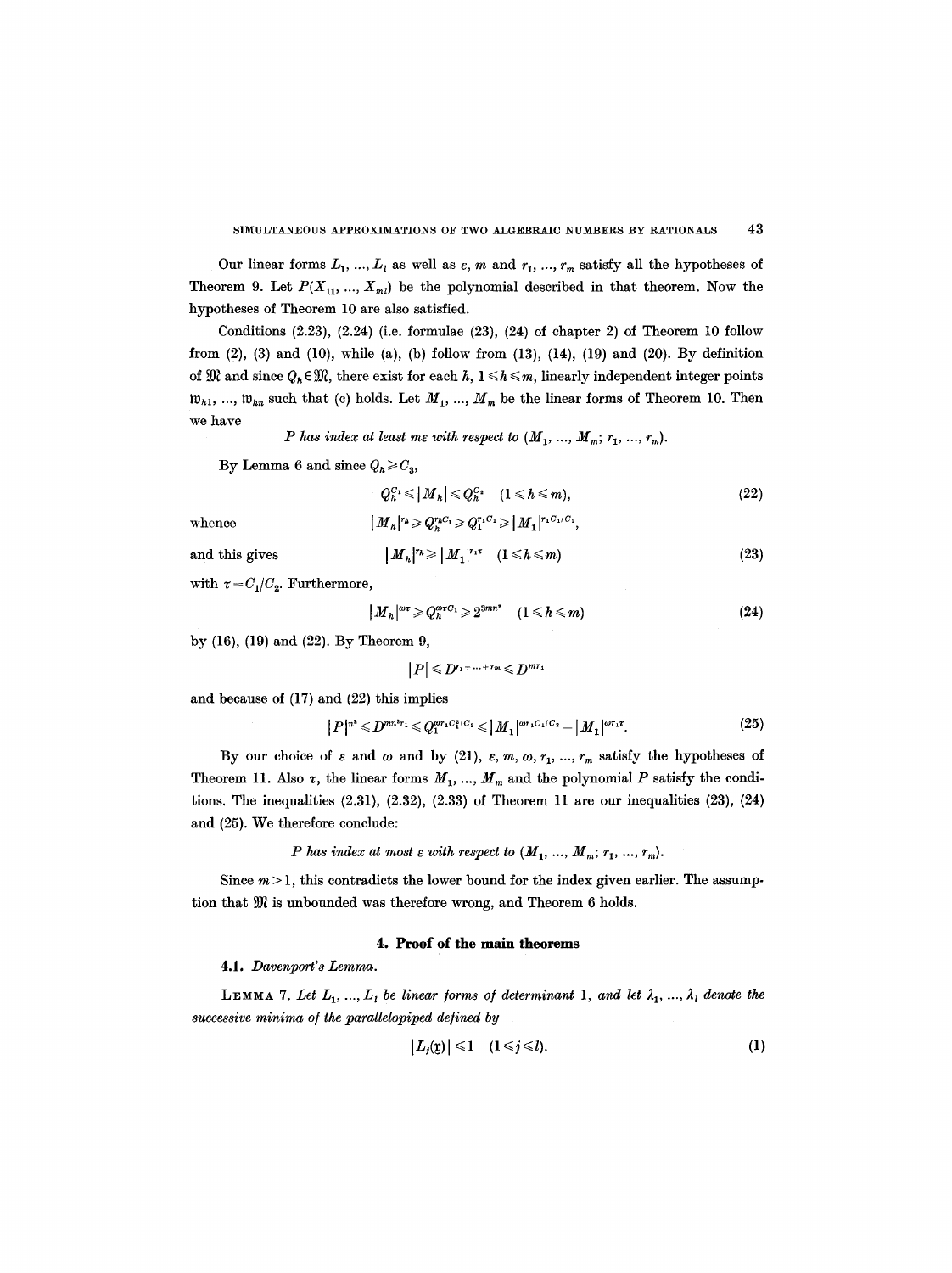Our linear forms  $L_1, ..., L_l$  as well as  $\varepsilon, m$  and  $r_1, ..., r_m$  satisfy all the hypotheses of Theorem 9. Let  $P(X_{11},..., X_{ml})$  be the polynomial described in that theorem. Now the hypotheses of Theorem 10 are also satisfied.

Conditions  $(2.23)$ ,  $(2.24)$  (i.e. formulae  $(23)$ ,  $(24)$  of chapter 2) of Theorem 10 follow from  $(2)$ ,  $(3)$  and  $(10)$ , while  $(a)$ ,  $(b)$  follow from  $(13)$ ,  $(14)$ ,  $(19)$  and  $(20)$ . By definition of  $\mathfrak{M}$  and since  $Q_h \in \mathfrak{M}$ , there exist for each h,  $1 \leq h \leq m$ , linearly independent integer points  $\mathfrak{w}_{h1}$ , ...,  $\mathfrak{w}_{hn}$  such that (c) holds. Let  $M_1$ , ...,  $M_m$  be the linear forms of Theorem 10. Then we have

*P* has index at least me with respect to  $(M_1, ..., M_m; r_1, ..., r_m)$ .

By Lemma 6 and since  $Q_h \geq C_3$ ,

$$
Q_n^{C_1} \leqslant |M_n| \leqslant Q_n^{C_2} \quad (1 \leqslant h \leqslant m), \tag{22}
$$

whence  $[M_h]^{r_h} \geqslant Q_h^{r_h C_1} \geqslant Q_1^{r_1 C_1} \geqslant |M_1|^{r_1 C_1 / C_2},$ 

and this gives

$$
|M_h|^{r_h} \geq |M_1|^{r_1 \tau} \quad (1 \leq h \leq m) \tag{23}
$$

with  $\tau = C_1/C_2$ . Furthermore,

$$
|M_h|^{\omega \tau} \geqslant Q_h^{\omega \tau C_1} \geqslant 2^{3mn^2} \quad (1 \leqslant h \leqslant m) \tag{24}
$$

by (16), (19) and (22). By Theorem 9,

 $|P| \leqslant D^{r_1+\ldots+r_m} \leqslant D^{mr_1}$ 

and because of (17) and (22) this implies

$$
|P|^{n^2} \leqslant D^{mn^2 r_1} \leqslant Q_1^{\omega r_1 C_1^s / C_2} \leqslant |M_1|^{\omega r_1 C_1 / C_2} = |M_1|^{\omega r_1 r}.
$$
\n(25)

By our choice of  $\varepsilon$  and  $\omega$  and by (21),  $\varepsilon$ ,  $m$ ,  $\omega$ ,  $r_1$ , ...,  $r_m$  satisfy the hypotheses of Theorem 11. Also  $\tau$ , the linear forms  $M_1, ..., M_m$  and the polynomial P satisfy the conditions. The inequalities  $(2.31)$ ,  $(2.32)$ ,  $(2.33)$  of Theorem 11 are our inequalities  $(23)$ ,  $(24)$ and (25). We therefore conclude:

*P* has index at most  $\varepsilon$  with respect to  $(M_1, ..., M_m; r_1, ..., r_m)$ .

Since  $m > 1$ , this contradicts the lower bound for the index given earlier. The assumption that  $\mathfrak M$  is unbounded was therefore wrong, and Theorem 6 holds.

## **4. Proof of the main theorems**

4.1. *Davenport' s Lemma.* 

**LEMMA** 7. Let  $L_1, ..., L_l$  be linear forms of determinant 1, and let  $\lambda_1, ..., \lambda_l$  denote the *successive minima o/the paraUelopiped defined by* 

$$
|L_j(\mathfrak{z})| \leq 1 \quad (1 \leq j \leq l). \tag{1}
$$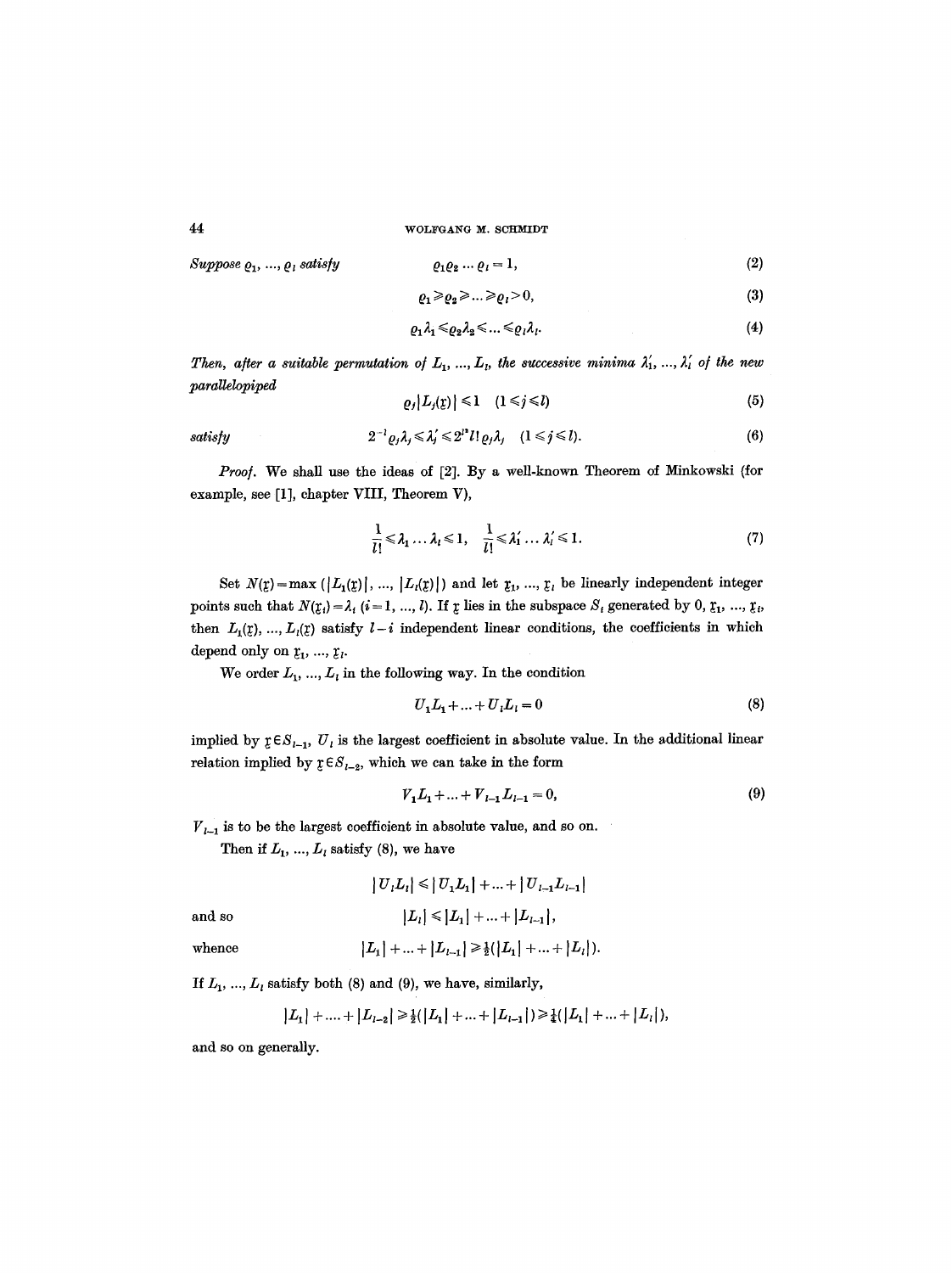*Suppose*  $Q_1, ..., Q_l$  *satisfy* 

$$
\varrho_1 \varrho_2 \dots \varrho_l = 1,\tag{2}
$$

$$
\varrho_1 \geqslant \varrho_2 \geqslant \ldots \geqslant \varrho_l > 0,\tag{3}
$$

$$
\varrho_1\lambda_1 \leqslant \varrho_2\lambda_2 \leqslant \ldots \leqslant \varrho_l\lambda_l. \tag{4}
$$

*Then, after a suitable permutation of*  $L_1, ..., L_l$ , the successive minima  $\lambda'_1, ..., \lambda'_l$  of the new *paralleloplped* 

$$
\varrho_j|L_j(\mathbf{z})| \leq 1 \quad (1 \leq j \leq l) \tag{5}
$$

satisfy 
$$
2^{-1} \varrho_j \lambda_j \leq \lambda'_j \leq 2^{j} l! \varrho_j \lambda_j \quad (1 \leq j \leq l).
$$
 (6)

*Proo].* We shall use the ideas of [2]. By a well-known Theorem of Minkowski (for example, see [1], chapter VIII, Theorem V),

$$
\frac{1}{l!} \leq \lambda_1 \dots \lambda_l \leq 1, \quad \frac{1}{l!} \leq \lambda'_1 \dots \lambda'_l \leq 1. \tag{7}
$$

Set  $N(r) = \max (|L_1(r)|, ..., |L_l(r)|)$  and let  $r_1, ..., r_l$  be linearly independent integer points such that  $N(\mathfrak{X}_i) = \lambda_i$  (i = 1, ..., l). If  $\mathfrak x$  lies in the subspace  $S_i$  generated by 0,  $\mathfrak x_1$ , ...,  $\mathfrak x_i$ , then  $L_1({\bf z}), ..., L_i({\bf z})$  satisfy  $l-i$  independent linear conditions, the coefficients in which depend only on  $x_1, ..., x_i$ .

We order  $L_1, ..., L_i$  in the following way. In the condition

$$
U_1 L_1 + \dots + U_l L_l = 0 \tag{8}
$$

implied by  $\mathfrak{g} \in S_{1-1}$ ,  $U_i$  is the largest coefficient in absolute value. In the additional linear relation implied by  $r \in S_{l-2}$ , which we can take in the form

$$
V_1 L_1 + \dots + V_{l-1} L_{l-1} = 0,\tag{9}
$$

 $V_{l-1}$  is to be the largest coefficient in absolute value, and so on.

Then if  $L_1$ , ...,  $L_i$  satisfy (8), we have

 $|U_{i}L_{i}| \leq |U_{1}L_{1}| + ... + |U_{l-1}L_{l-1}|$ and so  $|L_{l}| \leq |L_{1}| + ... + |L_{l-1}|,$ 

whence 
$$
|L_1| + ... + |L_{l-1}| \ge \frac{1}{2}(|L_1| + ... + |L_l|).
$$

If  $L_1$ , ...,  $L_i$  satisfy both (8) and (9), we have, similarly,

$$
|L_1| + \ldots + |L_{l-2}| \ge \frac{1}{2}(|L_1| + \ldots + |L_{l-1}|) \ge \frac{1}{4}(|L_1| + \ldots + |L_l|),
$$

and so on generally.

44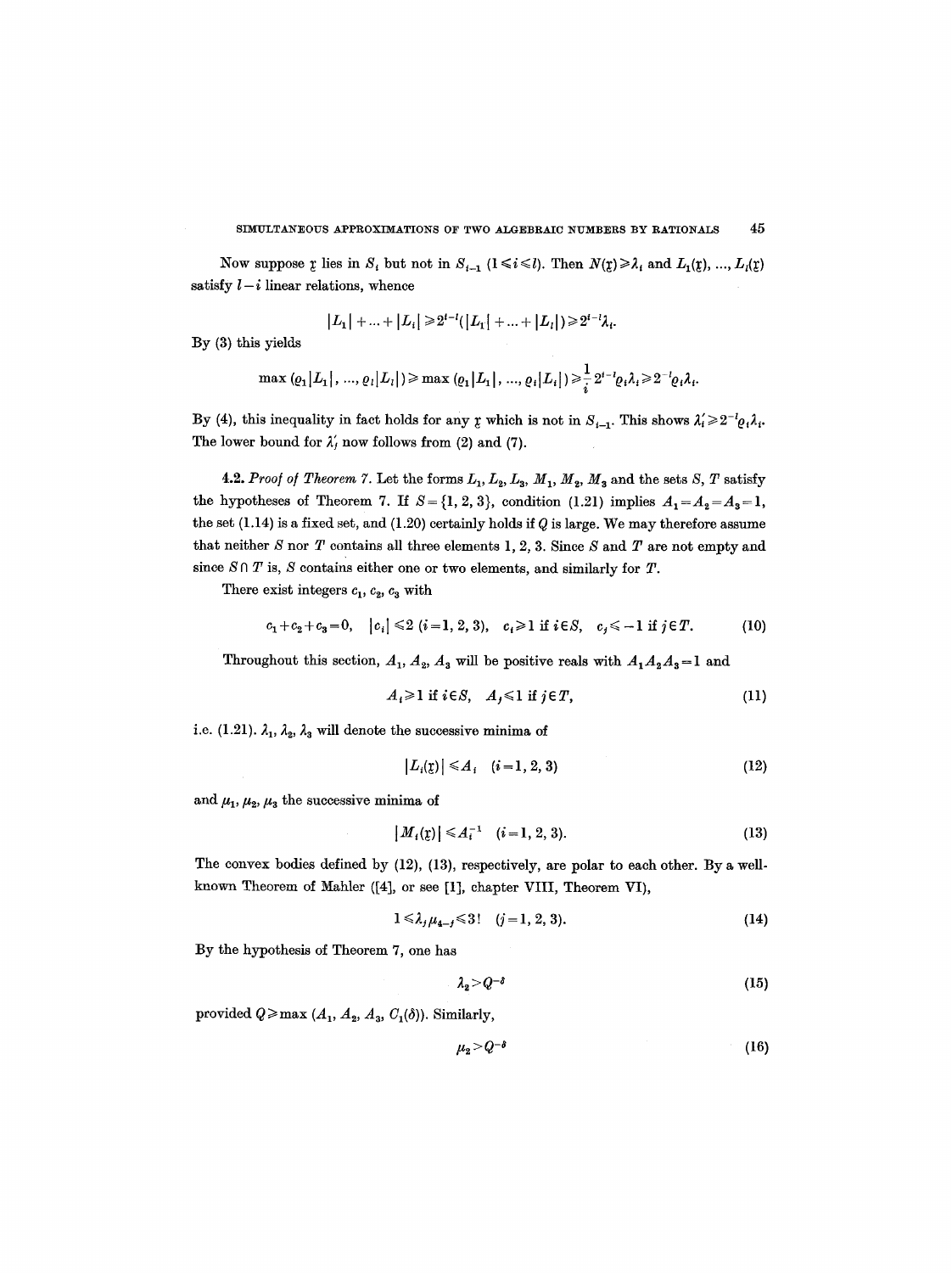Now suppose  $\chi$  lies in  $S_i$  but not in  $S_{i-1}$  ( $1 \le i \le l$ ). Then  $N(\chi) \ge \lambda_i$  and  $L_1(\chi)$ , ...,  $L_i(\chi)$ satisfy  $l-i$  linear relations, whence

$$
|L_1| + ... + |L_i| \ge 2^{i-l}(|L_1| + ... + |L_i|) \ge 2^{i-l} \lambda_i.
$$

By (3) this yields

$$
\max ( \varrho_1 | L_1 |, ..., \varrho_l | L_l | ) \geq \max ( \varrho_1 | L_1 |, ..., \varrho_l | L_i | ) \geq \frac{1}{i} 2^{i-l} \varrho_i \lambda_i \geq 2^{-l} \varrho_i \lambda_i.
$$

By (4), this inequality in fact holds for any  $\chi$  which is not in  $S_{i-1}$ . This shows  $\lambda'_i \geq 2^{-t}Q_i\lambda_i$ . The lower bound for  $\lambda'$ , now follows from (2) and (7).

4.2. *Proof of Theorem 7.* Let the forms  $L_1$ ,  $L_2$ ,  $L_3$ ,  $M_1$ ,  $M_2$ ,  $M_3$  and the sets *S*, *T* satisfy the hypotheses of Theorem 7. If  $S = \{1, 2, 3\}$ , condition (1.21) implies  $A_1 = A_2 = A_3 = 1$ , the set  $(1.14)$  is a fixed set, and  $(1.20)$  certainly holds if Q is large. We may therefore assume that neither S nor T contains all three elements 1, 2, 3. Since S and T are not empty and since  $S \cap T$  is, S contains either one or two elements, and similarly for T.

There exist integers  $c_1$ ,  $c_2$ ,  $c_3$  with

$$
c_1 + c_2 + c_3 = 0, \quad |c_i| \leq 2 \ (i = 1, 2, 3), \quad c_i \geq 1 \ \text{if} \ i \in S, \quad c_j \leq -1 \ \text{if} \ j \in T. \tag{10}
$$

Throughout this section,  $A_1$ ,  $A_2$ ,  $A_3$  will be positive reals with  $A_1A_2A_3=1$  and

$$
A_i \geq 1 \text{ if } i \in S, \quad A_j \leq 1 \text{ if } j \in T,
$$
\n
$$
(11)
$$

i.e. (1.21).  $\lambda_1$ ,  $\lambda_2$ ,  $\lambda_3$  will denote the successive minima of

$$
|L_i(\mathbf{z})| \leq A_i \quad (i=1,2,3) \tag{12}
$$

and  $\mu_1, \mu_2, \mu_3$  the successive minima of

$$
|M_i(\mathbf{z})| \le A_i^{-1} \quad (i=1,2,3). \tag{13}
$$

The convex bodies defined by (12), (13), respectively, are polar to each other. By a wellknown Theorem of Mahler ([4], or see [1], chapter VIII, Theorem VI),

$$
1 \leq \lambda_j \mu_{4-j} \leq 3! \quad (j=1,2,3). \tag{14}
$$

By the hypothesis of Theorem 7, one has

$$
\lambda_2 > Q^{-\delta} \tag{15}
$$

provided  $Q \geq \max (A_1, A_2, A_3, C_1(\delta))$ . Similarly,

$$
\mu_2 > Q^{-\delta} \tag{16}
$$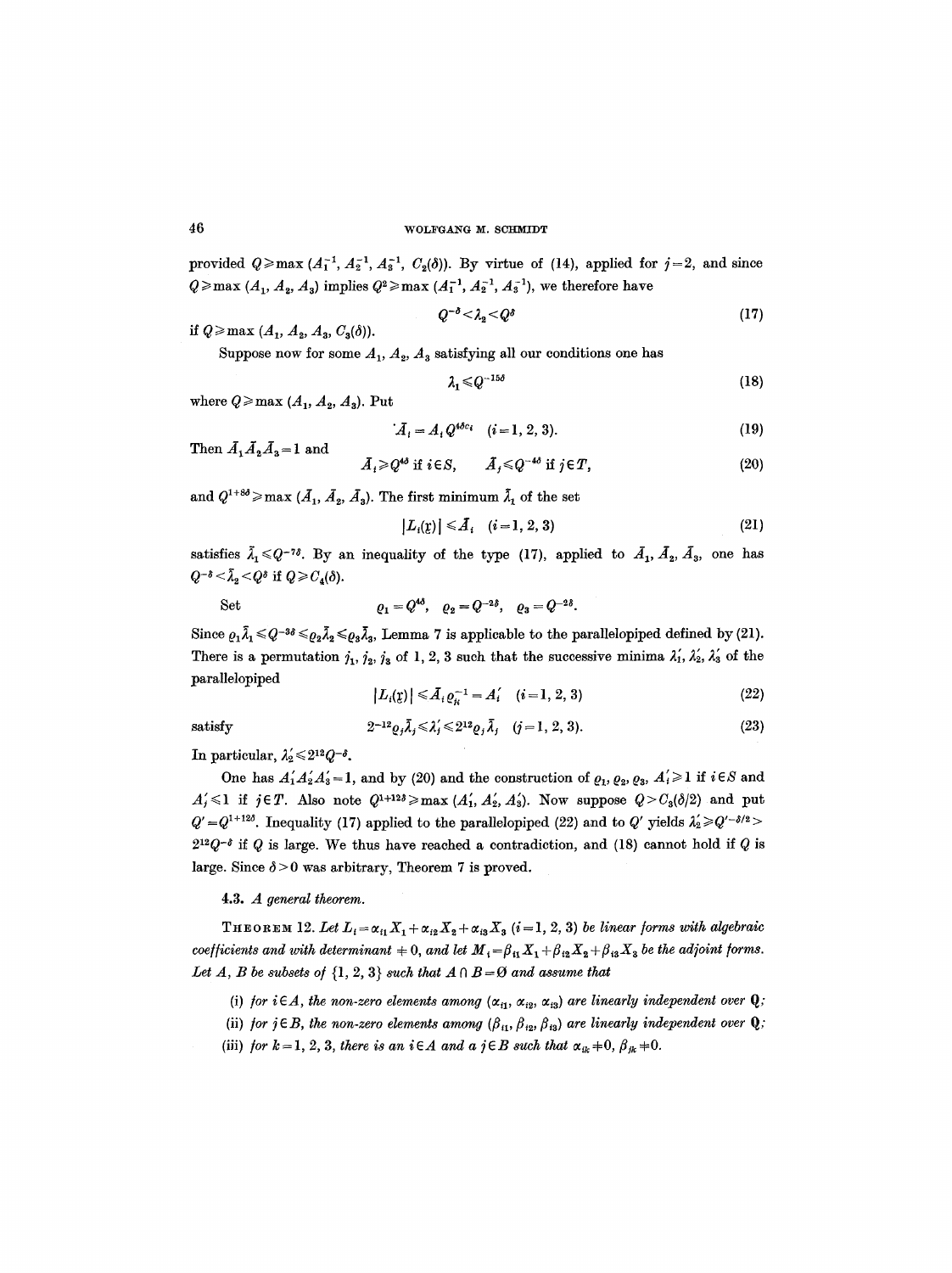provided  $Q\geqslant$  max  $(A_1^{-1}, A_2^{-1}, A_3^{-1}, C_2(\delta))$ . By virtue of (14), applied for  $j=2$ , and since  $Q \ge \max (A_1, A_2, A_3)$  implies  $Q^2 \ge \max (A_1^{-1}, A_2^{-1}, A_3^{-1})$ , we therefore have

$$
Q^{-\delta} < \lambda_2 < Q^{\delta} \tag{17}
$$

if  $Q \ge \max (A_1, A_2, A_3, C_3(\delta)).$ 

Suppose now for some  $A_1$ ,  $A_2$ ,  $A_3$  satisfying all our conditions one has

$$
\lambda_1 \leq Q^{-15\delta} \tag{18}
$$

where  $Q \geq \max(A_1, A_2, A_3)$ . Put

$$
\tilde{A}_i = A_i Q^{4\delta c_i} \quad (i = 1, 2, 3). \tag{19}
$$

Then  $\bar{A}_1 \bar{A}_2 \bar{A}_3 = 1$  and

$$
\bar{A}_i \geqslant Q^{4\delta} \text{ if } i \in S, \qquad \bar{A}_j \leqslant Q^{-4\delta} \text{ if } j \in T,
$$
\n
$$
(20)
$$

and  $Q^{1+3\delta} \ge \max (A_1, A_2, A_3)$ . The first minimum  $\tilde{\lambda}_1$  of the set

$$
|L_i(\mathbf{r})| \leq \bar{A}_i \quad (i = 1, 2, 3) \tag{21}
$$

satisfies  $\tilde{\lambda}_1 \leq Q^{-7\delta}$ . By an inequality of the type (17), applied to  $\tilde{A}_1, \tilde{A}_2, \tilde{A}_3$ , one has  $Q^{-\delta} < \bar{\lambda}_2 < Q^{\delta}$  if  $Q \geqslant C_4(\delta)$ .

Set 
$$
\qquad \qquad \varrho_1 = Q^{4\delta}, \quad \varrho_2 = Q^{-2\delta}, \quad \varrho_3 = Q^{-2\delta}.
$$

Since  $\rho_1\tilde{\lambda}_1 \leq Q^{-3\delta} \leq \rho_2\tilde{\lambda}_2 \leq \rho_3\tilde{\lambda}_3$ , Lemma 7 is applicable to the parallelopiped defined by (21). There is a permutation  $j_1$ ,  $j_2$ ,  $j_3$  of 1, 2, 3 such that the successive minima  $\lambda'_1$ ,  $\lambda'_2$ ,  $\lambda'_3$  of the *parallelopiped* 

$$
|L_i(\mathbf{z})| \leq A_i \varrho_i^{-1} = A_i' \quad (i = 1, 2, 3)
$$
 (22)

satisfy  $2^{-12} \varrho_j \bar{\lambda}_j \leq \lambda'_j \leq 2^{12} \varrho_j \bar{\lambda}_j \quad (j = 1, 2, 3).$  (23)

In particular,  $\lambda'_2 \leq 2^{12} Q^{-\delta}$ .

One has  $A'_1A'_2A'_3=1$ , and by (20) and the construction of  $\varrho_1, \varrho_2, \varrho_3, A'_i\geq 1$  if  $i\in S$  and  $A'_j \leq 1$  if  $j \in T$ . Also note  $Q^{1+12\delta} \geq \max(A'_1, A'_2, A'_3)$ . Now suppose  $Q > C_3(\delta/2)$  and put  $Q' = Q^{1+12\delta}$ . Inequality (17) applied to the parallelopiped (22) and to  $Q'$  yields  $\lambda'_2 \geqslant Q'^{-\delta/2}$  $2^{12}Q^{-\delta}$  if Q is large. We thus have reached a contradiction, and (18) cannot hold if Q is large. Since  $\delta$  > 0 was arbitrary, Theorem 7 is proved.

4.3. *A general theorem.* 

THEOREM 12. Let  $L_i = \alpha_{i1}X_1 + \alpha_{i2}X_2 + \alpha_{i3}X_3$  (i = 1, 2, 3) *be linear forms with algebraic coefficients and with determinant*  $+ 0$ , and let  $M_i = \beta_{i1} X_1 + \beta_{i2} X_2 + \beta_{i3} X_3$  be the adjoint forms. Let  $A$ ,  $B$  be subsets of  $\{1, 2, 3\}$  such that  $A \cap B = \emptyset$  and assume that

- (i) *for i* $\in$ *A, the non-zero elements among*  $(\alpha_{i1}, \alpha_{i2}, \alpha_{i3})$  *are linearly independent over* **Q**;
- (ii) *for j* $\in$ *B*, the non-zero elements among  $(\beta_{i1}, \beta_{i2}, \beta_{i3})$  are linearly independent over **Q**;
- (iii) *for*  $k=1, 2, 3$ , *there is an*  $i \in A$  *and a*  $j \in B$  *such that*  $\alpha_{ik} \neq 0$ ,  $\beta_{jk} \neq 0$ .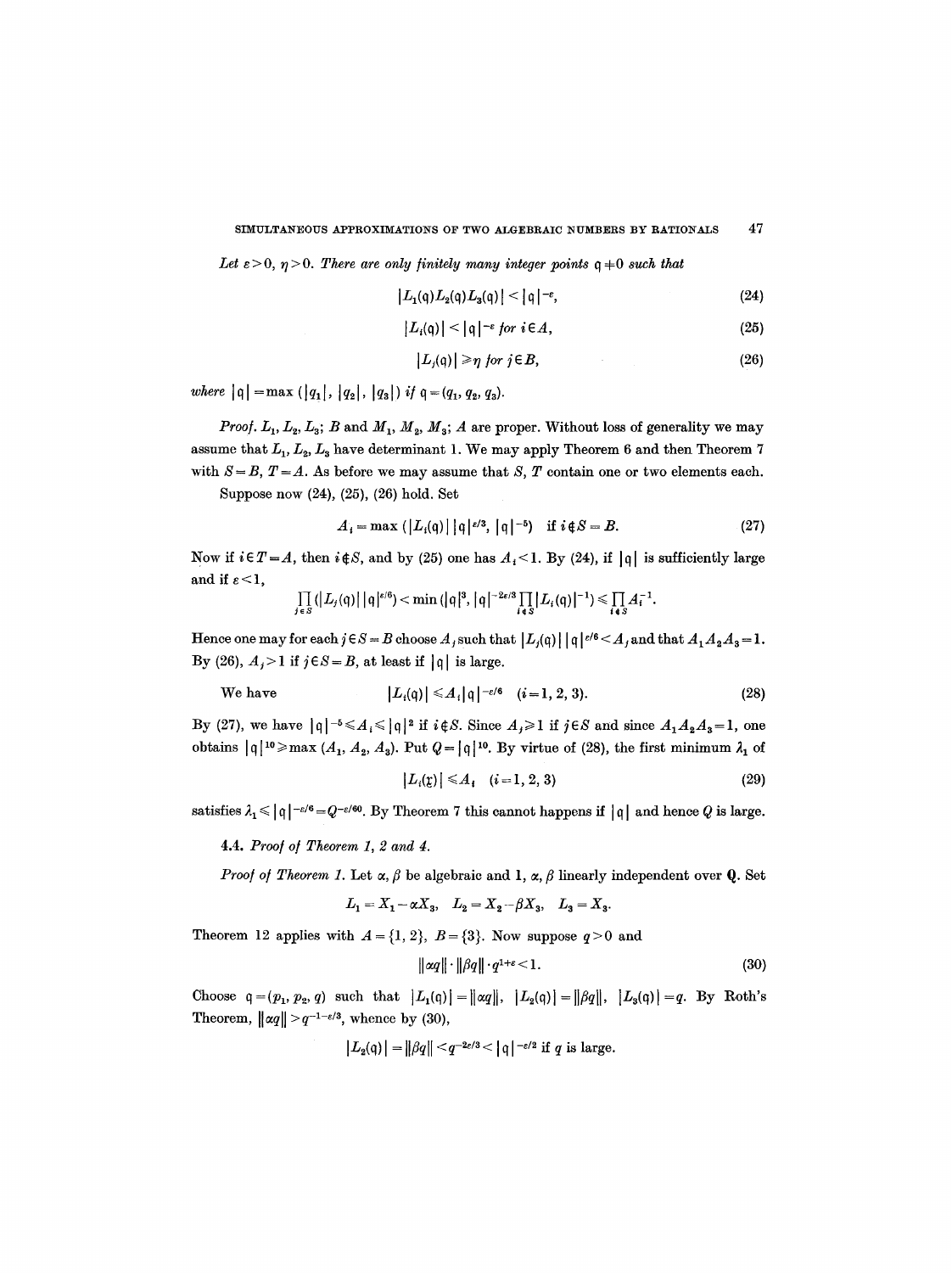Let  $\varepsilon > 0$ ,  $\eta > 0$ . There are only finitely many integer points  $q \neq 0$  such that

$$
|L_1(q)L_2(q)L_3(q)| < |q|^{-\varepsilon}, \qquad (24)
$$

$$
|L_i(\mathfrak{q})| < |\mathfrak{q}|^{-\varepsilon} \text{ for } i \in A,
$$
 (25)

$$
|L_i(q)| \geq \eta \text{ for } j \in B,
$$
 (26)

*where*  $|q| = max (|q_1|, |q_2|, |q_3|)$  *if*  $q = (q_1, q_2, q_3)$ .

*Proof.*  $L_1$ ,  $L_2$ ,  $L_3$ ; *B* and  $M_1$ ,  $M_2$ ,  $M_3$ ; *A* are proper. Without loss of generality we may assume that  $L_1, L_2, L_3$  have determinant 1. We may apply Theorem 6 and then Theorem 7 with  $S = B$ ,  $T = A$ . As before we may assume that S, T contain one or two elements each.

Suppose now (24), (25), (26) hold. Set

$$
A_i = \max\left(\left|L_i(\mathfrak{q})\right|\right)|\mathfrak{q}|^{\varepsilon/3}, \left|\mathfrak{q}\right|^{-5}\right) \quad \text{if } i \notin S = B. \tag{27}
$$

Now if  $i \in T = A$ , then  $i \notin S$ , and by (25) one has  $A_i < 1$ . By (24), if  $|q|$  is sufficiently large and if  $\varepsilon < 1$ ,

$$
\prod_{j\in S} (|L_j(q)||q|^{\varepsilon/6}) < \min(|q|^3, |q|^{-2\varepsilon/3} \prod_{i\in S} |L_i(q)|^{-1}) \leq \prod_{i\in S} A_i^{-1}.
$$

Hence one may for each  $j \in S = B$  choose  $A_j$  such that  $|L_j(q)| |q|^{e/6} \leq A_j$  and that  $A_1A_2A_3 = 1$ . By (26),  $A_j > 1$  if  $j \in S = B$ , at least if  $|q|$  is large.

We have 
$$
|L_i(\mathfrak{q})| \leq A_i |\mathfrak{q}|^{-\varepsilon/6} \quad (i=1, 2, 3).
$$
 (28)

By (27), we have  $|q|^{-5} \leq A_i \leq |q|^2$  if  $i \notin S$ . Since  $A_j \geq 1$  if  $j \in S$  and since  $A_1 A_2 A_3 = 1$ , one obtains  $|q|^{10} \ge \max (A_1, A_2, A_3)$ . Put  $Q = |q|^{10}$ . By virtue of (28), the first minimum  $\lambda_1$  of

$$
|L_i(\mathfrak{L})| \leq A_i \quad (i=1,2,3) \tag{29}
$$

satisfies  $\lambda_1 \leq |\mathfrak{q}|^{-\varepsilon/6} = Q^{-\varepsilon/60}$ . By Theorem 7 this cannot happens if  $|\mathfrak{q}|$  and hence Q is large.

4.4. *Proo/ o/ Theorem 1, 2 and 4.* 

*Proof of Theorem 1.* Let  $\alpha$ ,  $\beta$  be algebraic and 1,  $\alpha$ ,  $\beta$  linearly independent over **Q**. Set

$$
L_1 = X_1 - \alpha X_3, \quad L_2 = X_2 - \beta X_3, \quad L_3 = X_3.
$$

Theorem 12 applies with  $A = \{1, 2\}$ ,  $B = \{3\}$ . Now suppose  $q > 0$  and

$$
\|\alpha q\| \cdot \|\beta q\| \cdot q^{1+\varepsilon} < 1. \tag{30}
$$

Choose  $q=(p_1, p_2, q)$  such that  $|L_1(q)| = ||aq||, |L_2(q)| = ||\beta q||, |L_3(q)| = q$ . By Roth's Theorem,  $\|\alpha q\| > q^{-1-\epsilon/3}$ , whence by (30),

$$
|L_2(q)| = ||\beta q|| < q^{-2\varepsilon/3} < |q|^{-\varepsilon/2} \text{ if } q \text{ is large.}
$$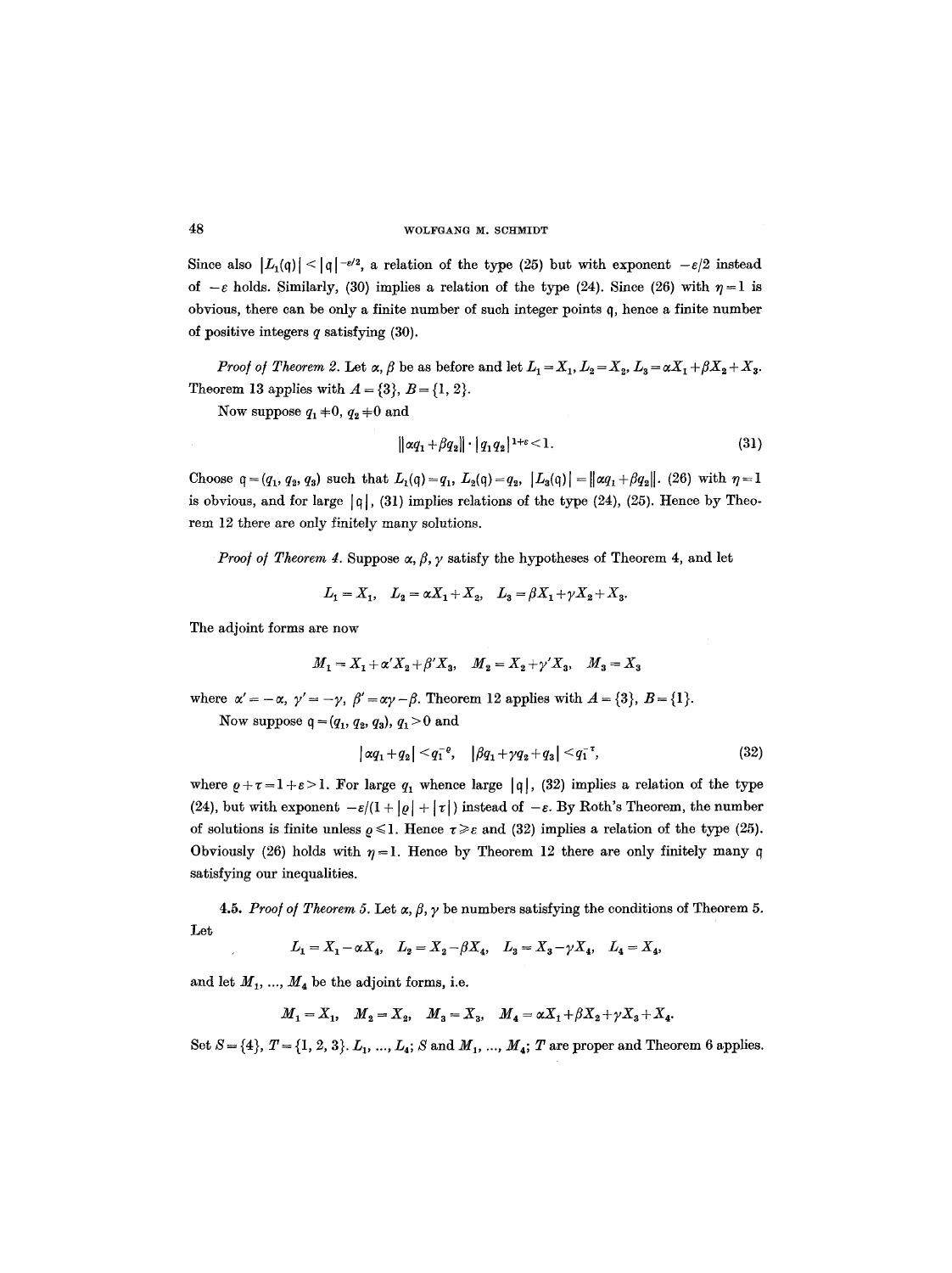Since also  $|L_1(q)| < |q|^{-\varepsilon/2}$ , a relation of the type (25) but with exponent  $-\varepsilon/2$  instead of  $-\varepsilon$  holds. Similarly, (30) implies a relation of the type (24). Since (26) with  $\eta=1$  is obvious, there can be only a finite number of such integer points q, hence a finite number of positive integers  $q$  satisfying  $(30)$ .

*Proof of Theorem 2.* Let  $\alpha$ ,  $\beta$  be as before and let  $L_1 = X_1, L_2 = X_2, L_3 = \alpha X_1 + \beta X_2 + X_3$ . Theorem 13 applies with  $A = \{3\}, B = \{1, 2\}.$ 

Now suppose  $q_1+0$ ,  $q_2+0$  and

$$
\|\alpha q_1 + \beta q_2\| \cdot |q_1 q_2|^{1+\epsilon} < 1. \tag{31}
$$

Choose  $q = (q_1, q_2, q_3)$  such that  $L_1(q) = q_1, L_2(q) = q_2, |L_3(q)| = ||\alpha q_1 + \beta q_2||$ . (26) with  $\eta = 1$ is obvious, and for large  $|q|$ , (31) implies relations of the type (24), (25). Hence by Theorem 12 there are only finitely many solutions.

*Proof of Theorem 4.* Suppose  $\alpha$ ,  $\beta$ ,  $\gamma$  satisfy the hypotheses of Theorem 4, and let

 $L_1 = X_1, L_2 = \alpha X_1 + X_2, L_3 = \beta X_1 + \gamma X_2 + X_3.$ 

The adjoint forms are now

$$
M_1 = X_1 + \alpha' X_2 + \beta' X_3, \quad M_2 = X_2 + \gamma' X_3, \quad M_3 = X_3
$$

where  $\alpha' = -\alpha$ ,  $\gamma' = -\gamma$ ,  $\beta' = \alpha\gamma - \beta$ . Theorem 12 applies with  $A = \{3\}$ ,  $B = \{1\}$ .

Now suppose  $q = (q_1, q_2, q_3), q_1 > 0$  and

$$
|\alpha q_1 + q_2| < q_1^{-\varrho}, \quad |\beta q_1 + \gamma q_2 + q_3| < q_1^{-\tau}, \tag{32}
$$

where  $\rho+\tau=1+\varepsilon>1$ . For large  $q_1$  whence large  $|q|$ , (32) implies a relation of the type (24), but with exponent  $-\varepsilon/(1 + |\varrho| + |\tau|)$  instead of  $-\varepsilon$ . By Roth's Theorem, the number of solutions is finite unless  $\rho \leq 1$ . Hence  $\tau \geq \varepsilon$  and (32) implies a relation of the type (25). Obviously (26) holds with  $\eta = 1$ . Hence by Theorem 12 there are only finitely many q satisfying our inequalities.

Let 4.5. Proof of Theorem 5. Let  $\alpha$ ,  $\beta$ ,  $\gamma$  be numbers satisfying the conditions of Theorem 5.

$$
L_1 = X_1 - \alpha X_4, \quad L_2 = X_2 - \beta X_4, \quad L_3 = X_3 - \gamma X_4, \quad L_4 = X_4,
$$

and let  $M_1, ..., M_4$  be the adjoint forms, i.e.

 $M_1=X_1, M_2=X_2, M_3=X_3, M_4=\alpha X_1+\beta X_2+\gamma X_3+X_4.$ 

Set  $S = \{4\}, T = \{1, 2, 3\}, L_1, ..., L_4; S \text{ and } M_1, ..., M_4; T \text{ are proper and Theorem 6 applies.}$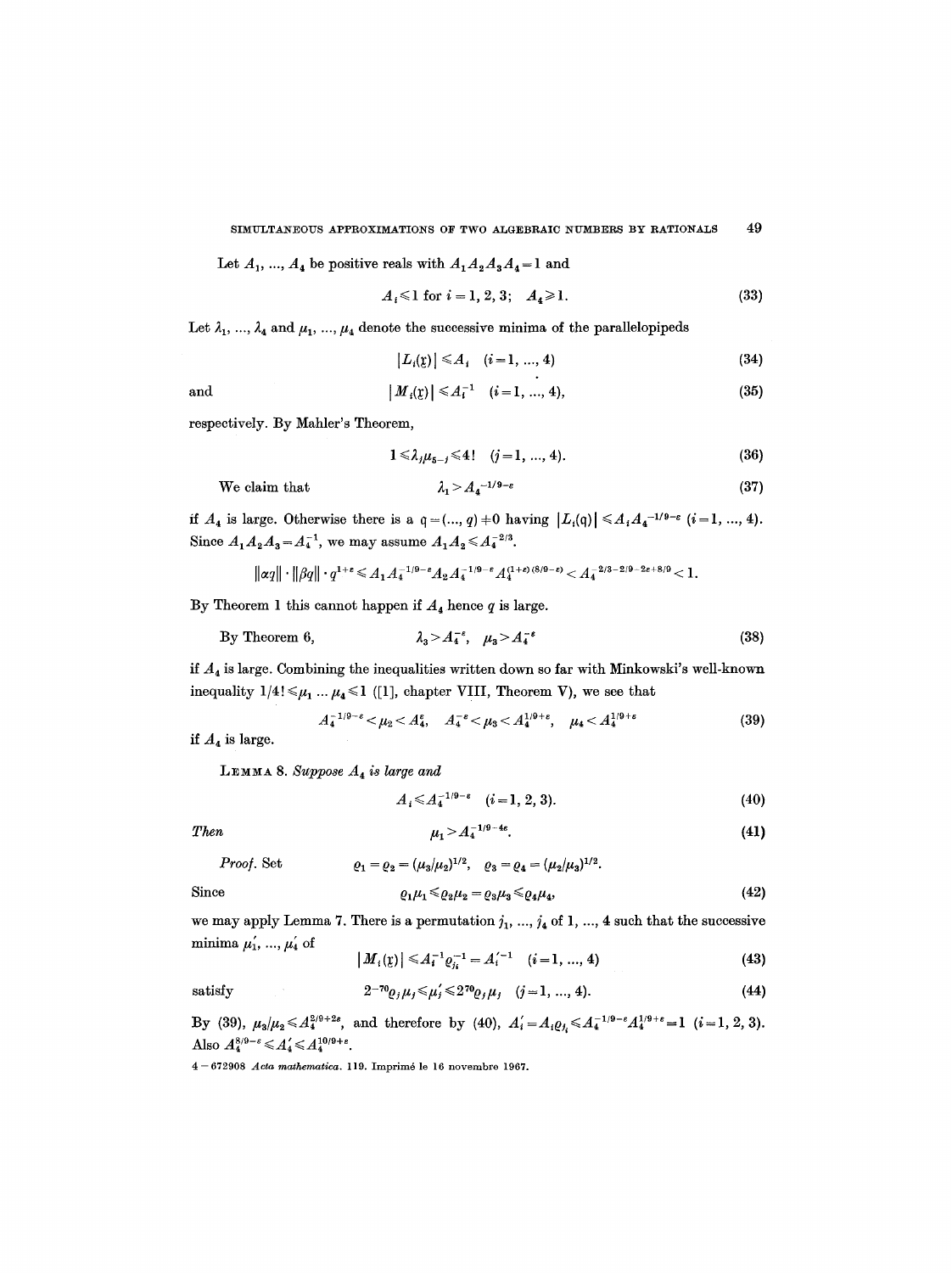Let  $A_1, ..., A_4$  be positive reals with  $A_1A_2A_3A_4 = 1$  and

$$
A_i \leq 1 \text{ for } i = 1, 2, 3; \quad A_4 \geq 1. \tag{33}
$$

Let  $\lambda_1, ..., \lambda_4$  and  $\mu_1, ..., \mu_4$  denote the successive minima of the parallelopipeds

$$
|L_i(\mathbf{y})| \le A_i \quad (i = 1, ..., 4)
$$
 (34)

$$
\qquad\text{and}\qquad
$$

and 
$$
|M_i(\mathbf{x})| \le A_i^{-1} \quad (i=1, ..., 4),
$$
 (35)

respectively. By Mahler's Theorem,

$$
1 \leq \lambda_j \mu_{5-j} \leq 4! \quad (j=1, ..., 4). \tag{36}
$$

We claim that

$$
\lambda_1 > A_4^{-1/9 - \varepsilon} \tag{37}
$$

if  $A_4$  is large. Otherwise there is a  $q = (..., q) + 0$  having  $|L_i(q)| \leq A_i A_4^{-1/9-\varepsilon}$   $(i=1, ..., 4)$ . Since  $A_1A_2A_3 = A_4^{-1}$ , we may assume  $A_1A_2 \leq A_4^{-2/3}$ .

$$
\left\| \alpha q \right\| \cdot \left\| \beta q \right\| \cdot q^{1 + \varepsilon} \leqslant A_1 A_4^{- 1/9 - \varepsilon} A_2 A_4^{- 1/9 - \varepsilon} A_4^{(1 + \varepsilon)(8/9 - \varepsilon)} < A_4^{- 2/3 - 2/9 - 2 \varepsilon + 8/9} < 1.
$$

By Theorem 1 this cannot happen if  $A_4$  hence  $q$  is large.

By Theorem 6, 
$$
\lambda_3 > A_4^{-\epsilon}, \quad \mu_3 > A_4^{-\epsilon}
$$
 (38)

if  $A_4$  is large. Combining the inequalities written down so far with Minkowski's well-known inequality  $1/4! \leq \mu_1 ... \mu_4 \leq 1$  ([1], chapter VIII, Theorem V), we see that

$$
A_4^{-1/9-\epsilon} < \mu_2 < A_4^{\epsilon}, \quad A_4^{-\epsilon} < \mu_3 < A_4^{1/9+\epsilon}, \quad \mu_4 < A_4^{1/9+\epsilon} \tag{39}
$$

if  $A_4$  is large.

LEMMA 8. Suppose  $A_4$  is large and

$$
A_i \leq A_4^{-1/9-\epsilon} \quad (i=1, 2, 3). \tag{40}
$$

*Then*  $\mu_1 > A_4^{-1/9-4\epsilon}$ . (41)

$$
x_1, x_2, \ldots, x_n
$$

*Proof.* Set  $\rho_1 = \rho_2 = (\mu_3/\mu_2)^{1/2}, \quad \rho_3 = \rho_4 = (\mu_2/\mu_3)^{1/2}.$ 

Since 
$$
\varrho_1 \mu_1 \leq \varrho_2 \mu_2 = \varrho_3 \mu_3 \leq \varrho_4 \mu_4, \tag{42}
$$

we may apply Lemma 7. There is a permutation  $j_1, ..., j_4$  of 1, ..., 4 such that the successive minima  $\mu'_1, ..., \mu'_4$  of

$$
|M_i(\mathbf{y})| \le A_i^{-1} \varrho_{j_i}^{-1} = A_i'^{-1} \quad (i = 1, ..., 4)
$$
 (43)

satisfy 
$$
2^{-70} \varrho_j \mu_j \leq \mu'_j \leq 2^{70} \varrho_j \mu_j \quad (j = 1, ..., 4).
$$
 (44)

By (39),  $\mu_3/\mu_2 \leq A_4^{2/9+2\epsilon}$ , and therefore by (40),  $A'_i = A_i \varrho_{j_i} \leq A_4^{-1/9-\epsilon} A_4^{1/9+\epsilon} = 1$  (*i* = 1, 2, 3). Also  $A_4^{8/9-\varepsilon} \leq A_4' \leq A_4^{10/9+\varepsilon}$ .

4-672908 *Acta mathematica.* 119. Imprim6 le 16 novembro 1967.